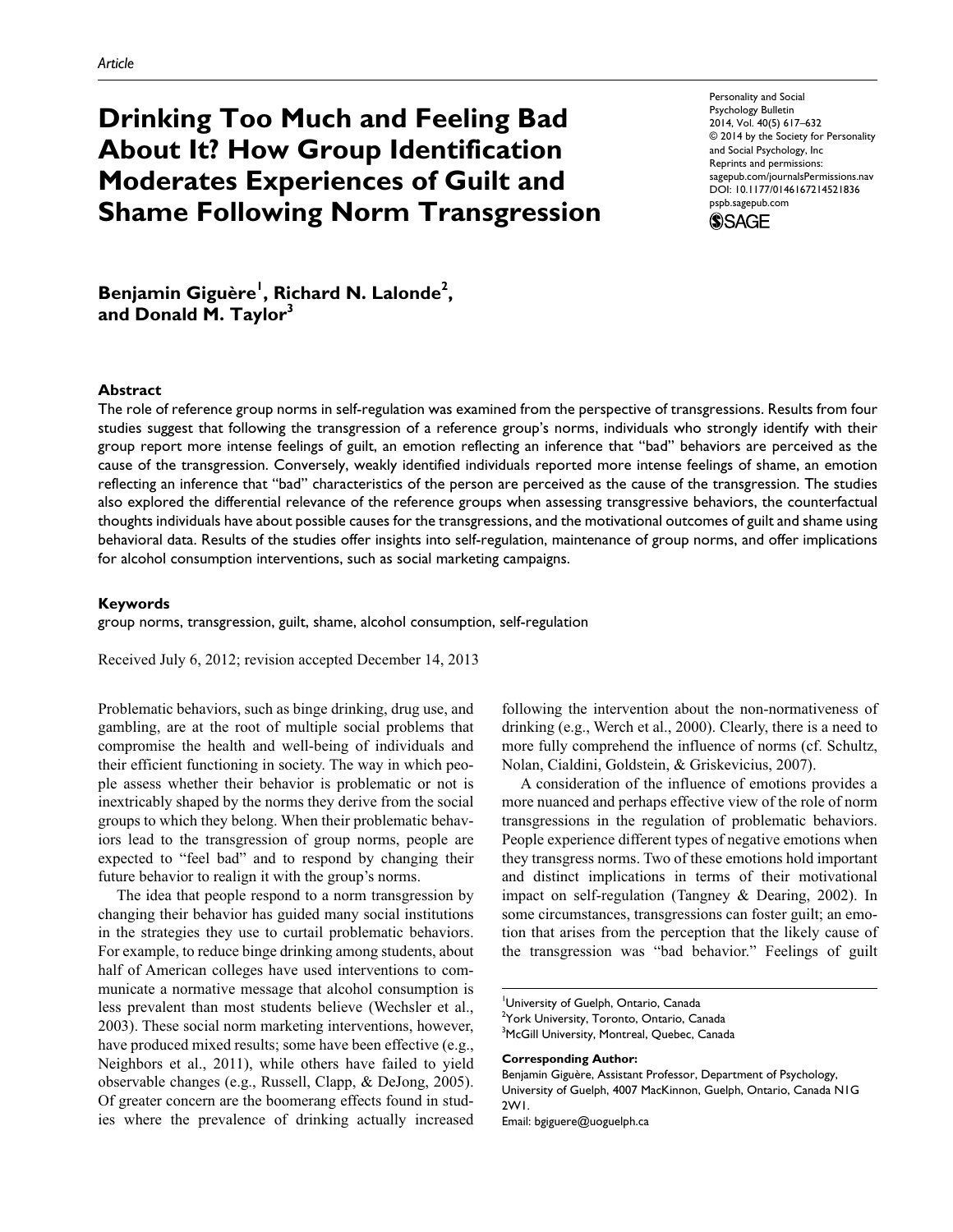# **Drinking Too Much and Feeling Bad About It? How Group Identification Moderates Experiences of Guilt and Shame Following Norm Transgression**

Personality and Social Psychology Bulletin 2014, Vol. 40(5) 617–632 © 2014 by the Society for Personality and Social Psychology, Inc Reprints and permissions: sagepub.com/journalsPermissions.nav DOI: 10.1177/0146167214521836 pspb.sagepub.com



**Benjamin Giguère1 , Richard N. Lalonde2 , and Donald M. Taylor3**

#### **Abstract**

The role of reference group norms in self-regulation was examined from the perspective of transgressions. Results from four studies suggest that following the transgression of a reference group's norms, individuals who strongly identify with their group report more intense feelings of guilt, an emotion reflecting an inference that "bad" behaviors are perceived as the cause of the transgression. Conversely, weakly identified individuals reported more intense feelings of shame, an emotion reflecting an inference that "bad" characteristics of the person are perceived as the cause of the transgression. The studies also explored the differential relevance of the reference groups when assessing transgressive behaviors, the counterfactual thoughts individuals have about possible causes for the transgressions, and the motivational outcomes of guilt and shame using behavioral data. Results of the studies offer insights into self-regulation, maintenance of group norms, and offer implications for alcohol consumption interventions, such as social marketing campaigns.

#### **Keywords**

group norms, transgression, guilt, shame, alcohol consumption, self-regulation

Received July 6, 2012; revision accepted December 14, 2013

Problematic behaviors, such as binge drinking, drug use, and gambling, are at the root of multiple social problems that compromise the health and well-being of individuals and their efficient functioning in society. The way in which people assess whether their behavior is problematic or not is inextricably shaped by the norms they derive from the social groups to which they belong. When their problematic behaviors lead to the transgression of group norms, people are expected to "feel bad" and to respond by changing their future behavior to realign it with the group's norms.

The idea that people respond to a norm transgression by changing their behavior has guided many social institutions in the strategies they use to curtail problematic behaviors. For example, to reduce binge drinking among students, about half of American colleges have used interventions to communicate a normative message that alcohol consumption is less prevalent than most students believe (Wechsler et al., 2003). These social norm marketing interventions, however, have produced mixed results; some have been effective (e.g., Neighbors et al., 2011), while others have failed to yield observable changes (e.g., Russell, Clapp, & DeJong, 2005). Of greater concern are the boomerang effects found in studies where the prevalence of drinking actually increased

following the intervention about the non-normativeness of drinking (e.g., Werch et al., 2000). Clearly, there is a need to more fully comprehend the influence of norms (cf. Schultz, Nolan, Cialdini, Goldstein, & Griskevicius, 2007).

A consideration of the influence of emotions provides a more nuanced and perhaps effective view of the role of norm transgressions in the regulation of problematic behaviors. People experience different types of negative emotions when they transgress norms. Two of these emotions hold important and distinct implications in terms of their motivational impact on self-regulation (Tangney & Dearing, 2002). In some circumstances, transgressions can foster guilt; an emotion that arises from the perception that the likely cause of the transgression was "bad behavior." Feelings of guilt

#### **Corresponding Author:**

Benjamin Giguère, Assistant Professor, Department of Psychology, University of Guelph, 4007 MacKinnon, Guelph, Ontario, Canada N1G 2W1.

Email: [bgiguere@uoguelph.ca](mailto:bgiguere@uoguelph.ca)

University of Guelph, Ontario, Canada <sup>2</sup>York University, Toronto, Ontario, Canada <sup>3</sup>McGill University, Montreal, Quebec, Canada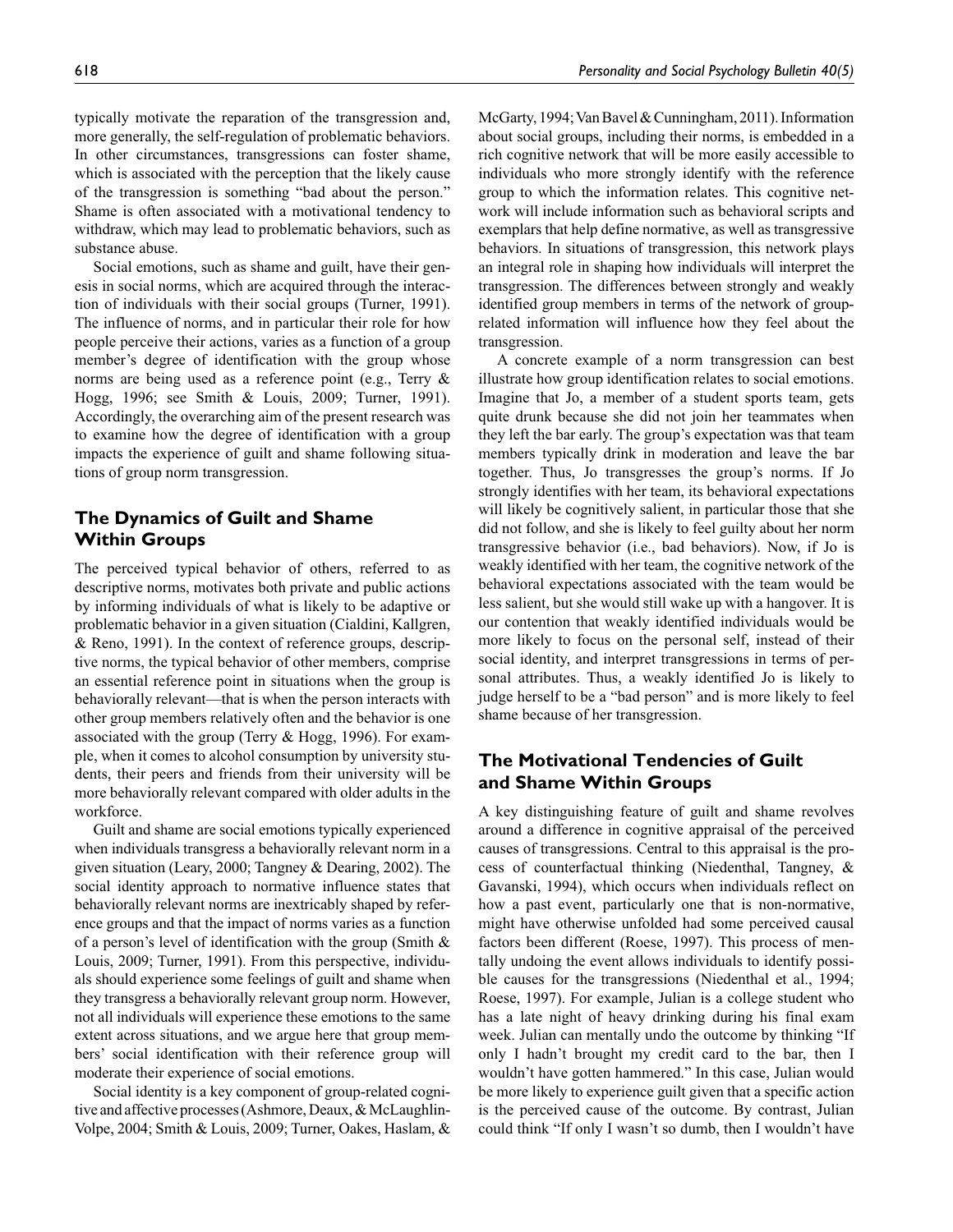typically motivate the reparation of the transgression and, more generally, the self-regulation of problematic behaviors. In other circumstances, transgressions can foster shame, which is associated with the perception that the likely cause of the transgression is something "bad about the person." Shame is often associated with a motivational tendency to withdraw, which may lead to problematic behaviors, such as substance abuse.

Social emotions, such as shame and guilt, have their genesis in social norms, which are acquired through the interaction of individuals with their social groups (Turner, 1991). The influence of norms, and in particular their role for how people perceive their actions, varies as a function of a group member's degree of identification with the group whose norms are being used as a reference point (e.g., Terry & Hogg, 1996; see Smith & Louis, 2009; Turner, 1991). Accordingly, the overarching aim of the present research was to examine how the degree of identification with a group impacts the experience of guilt and shame following situations of group norm transgression.

# **The Dynamics of Guilt and Shame Within Groups**

The perceived typical behavior of others, referred to as descriptive norms, motivates both private and public actions by informing individuals of what is likely to be adaptive or problematic behavior in a given situation (Cialdini, Kallgren, & Reno, 1991). In the context of reference groups, descriptive norms, the typical behavior of other members, comprise an essential reference point in situations when the group is behaviorally relevant—that is when the person interacts with other group members relatively often and the behavior is one associated with the group (Terry & Hogg, 1996). For example, when it comes to alcohol consumption by university students, their peers and friends from their university will be more behaviorally relevant compared with older adults in the workforce.

Guilt and shame are social emotions typically experienced when individuals transgress a behaviorally relevant norm in a given situation (Leary, 2000; Tangney & Dearing, 2002). The social identity approach to normative influence states that behaviorally relevant norms are inextricably shaped by reference groups and that the impact of norms varies as a function of a person's level of identification with the group (Smith & Louis, 2009; Turner, 1991). From this perspective, individuals should experience some feelings of guilt and shame when they transgress a behaviorally relevant group norm. However, not all individuals will experience these emotions to the same extent across situations, and we argue here that group members' social identification with their reference group will moderate their experience of social emotions.

Social identity is a key component of group-related cognitive and affective processes (Ashmore, Deaux, & McLaughlin-Volpe, 2004; Smith & Louis, 2009; Turner, Oakes, Haslam, & McGarty, 1994; Van Bavel & Cunningham, 2011). Information about social groups, including their norms, is embedded in a rich cognitive network that will be more easily accessible to individuals who more strongly identify with the reference group to which the information relates. This cognitive network will include information such as behavioral scripts and exemplars that help define normative, as well as transgressive behaviors. In situations of transgression, this network plays an integral role in shaping how individuals will interpret the transgression. The differences between strongly and weakly identified group members in terms of the network of grouprelated information will influence how they feel about the transgression.

A concrete example of a norm transgression can best illustrate how group identification relates to social emotions. Imagine that Jo, a member of a student sports team, gets quite drunk because she did not join her teammates when they left the bar early. The group's expectation was that team members typically drink in moderation and leave the bar together. Thus, Jo transgresses the group's norms. If Jo strongly identifies with her team, its behavioral expectations will likely be cognitively salient, in particular those that she did not follow, and she is likely to feel guilty about her norm transgressive behavior (i.e., bad behaviors). Now, if Jo is weakly identified with her team, the cognitive network of the behavioral expectations associated with the team would be less salient, but she would still wake up with a hangover. It is our contention that weakly identified individuals would be more likely to focus on the personal self, instead of their social identity, and interpret transgressions in terms of personal attributes. Thus, a weakly identified Jo is likely to judge herself to be a "bad person" and is more likely to feel shame because of her transgression.

# **The Motivational Tendencies of Guilt and Shame Within Groups**

A key distinguishing feature of guilt and shame revolves around a difference in cognitive appraisal of the perceived causes of transgressions. Central to this appraisal is the process of counterfactual thinking (Niedenthal, Tangney, & Gavanski, 1994), which occurs when individuals reflect on how a past event, particularly one that is non-normative, might have otherwise unfolded had some perceived causal factors been different (Roese, 1997). This process of mentally undoing the event allows individuals to identify possible causes for the transgressions (Niedenthal et al., 1994; Roese, 1997). For example, Julian is a college student who has a late night of heavy drinking during his final exam week. Julian can mentally undo the outcome by thinking "If only I hadn't brought my credit card to the bar, then I wouldn't have gotten hammered." In this case, Julian would be more likely to experience guilt given that a specific action is the perceived cause of the outcome. By contrast, Julian could [think "If on](http://psp.sagepub.com/)ly I wasn't so dumb, then I wouldn't have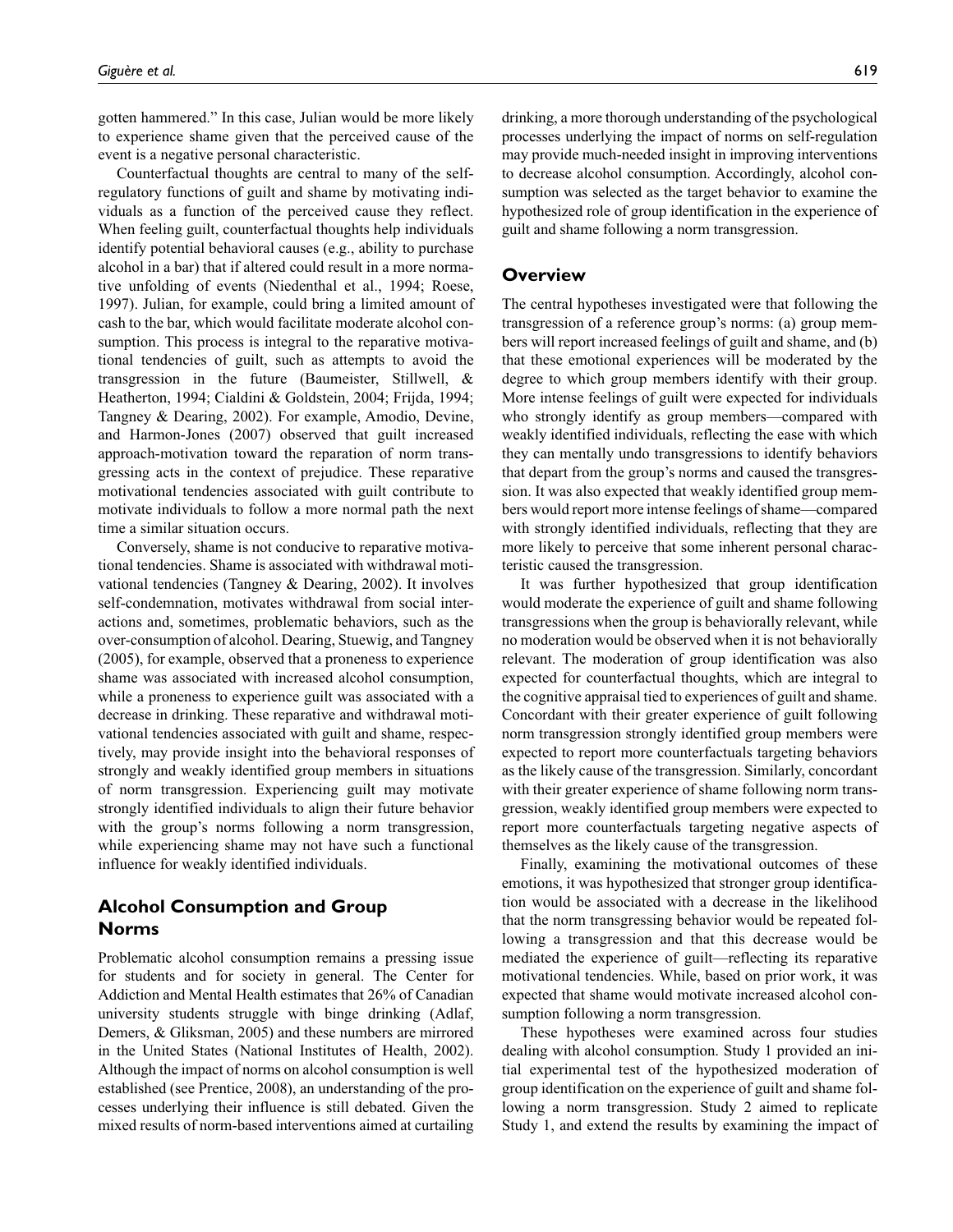gotten hammered." In this case, Julian would be more likely to experience shame given that the perceived cause of the event is a negative personal characteristic.

Counterfactual thoughts are central to many of the selfregulatory functions of guilt and shame by motivating individuals as a function of the perceived cause they reflect. When feeling guilt, counterfactual thoughts help individuals identify potential behavioral causes (e.g., ability to purchase alcohol in a bar) that if altered could result in a more normative unfolding of events (Niedenthal et al., 1994; Roese, 1997). Julian, for example, could bring a limited amount of cash to the bar, which would facilitate moderate alcohol consumption. This process is integral to the reparative motivational tendencies of guilt, such as attempts to avoid the transgression in the future (Baumeister, Stillwell, & Heatherton, 1994; Cialdini & Goldstein, 2004; Frijda, 1994; Tangney & Dearing, 2002). For example, Amodio, Devine, and Harmon-Jones (2007) observed that guilt increased approach-motivation toward the reparation of norm transgressing acts in the context of prejudice. These reparative motivational tendencies associated with guilt contribute to motivate individuals to follow a more normal path the next time a similar situation occurs.

Conversely, shame is not conducive to reparative motivational tendencies. Shame is associated with withdrawal motivational tendencies (Tangney & Dearing, 2002). It involves self-condemnation, motivates withdrawal from social interactions and, sometimes, problematic behaviors, such as the over-consumption of alcohol. Dearing, Stuewig, and Tangney (2005), for example, observed that a proneness to experience shame was associated with increased alcohol consumption, while a proneness to experience guilt was associated with a decrease in drinking. These reparative and withdrawal motivational tendencies associated with guilt and shame, respectively, may provide insight into the behavioral responses of strongly and weakly identified group members in situations of norm transgression. Experiencing guilt may motivate strongly identified individuals to align their future behavior with the group's norms following a norm transgression, while experiencing shame may not have such a functional influence for weakly identified individuals.

# **Alcohol Consumption and Group Norms**

Problematic alcohol consumption remains a pressing issue for students and for society in general. The Center for Addiction and Mental Health estimates that 26% of Canadian university students struggle with binge drinking (Adlaf, Demers, & Gliksman, 2005) and these numbers are mirrored in the United States (National Institutes of Health, 2002). Although the impact of norms on alcohol consumption is well established (see Prentice, 2008), an understanding of the processes underlying their influence is still debated. Given the mixed results of norm-based interventions aimed at curtailing

drinking, a more thorough understanding of the psychological processes underlying the impact of norms on self-regulation may provide much-needed insight in improving interventions to decrease alcohol consumption. Accordingly, alcohol consumption was selected as the target behavior to examine the hypothesized role of group identification in the experience of guilt and shame following a norm transgression.

## **Overview**

The central hypotheses investigated were that following the transgression of a reference group's norms: (a) group members will report increased feelings of guilt and shame, and (b) that these emotional experiences will be moderated by the degree to which group members identify with their group. More intense feelings of guilt were expected for individuals who strongly identify as group members—compared with weakly identified individuals, reflecting the ease with which they can mentally undo transgressions to identify behaviors that depart from the group's norms and caused the transgression. It was also expected that weakly identified group members would report more intense feelings of shame—compared with strongly identified individuals, reflecting that they are more likely to perceive that some inherent personal characteristic caused the transgression.

It was further hypothesized that group identification would moderate the experience of guilt and shame following transgressions when the group is behaviorally relevant, while no moderation would be observed when it is not behaviorally relevant. The moderation of group identification was also expected for counterfactual thoughts, which are integral to the cognitive appraisal tied to experiences of guilt and shame. Concordant with their greater experience of guilt following norm transgression strongly identified group members were expected to report more counterfactuals targeting behaviors as the likely cause of the transgression. Similarly, concordant with their greater experience of shame following norm transgression, weakly identified group members were expected to report more counterfactuals targeting negative aspects of themselves as the likely cause of the transgression.

Finally, examining the motivational outcomes of these emotions, it was hypothesized that stronger group identification would be associated with a decrease in the likelihood that the norm transgressing behavior would be repeated following a transgression and that this decrease would be mediated the experience of guilt—reflecting its reparative motivational tendencies. While, based on prior work, it was expected that shame would motivate increased alcohol consumption following a norm transgression.

These hypotheses were examined across four studies dealing with alcohol consumption. Study 1 provided an initial experimental test of the hypothesized moderation of group identification on the experience of guilt and shame following a norm transgression. Study 2 aimed to replicate St[udy 1, and](http://psp.sagepub.com/) extend the results by examining the impact of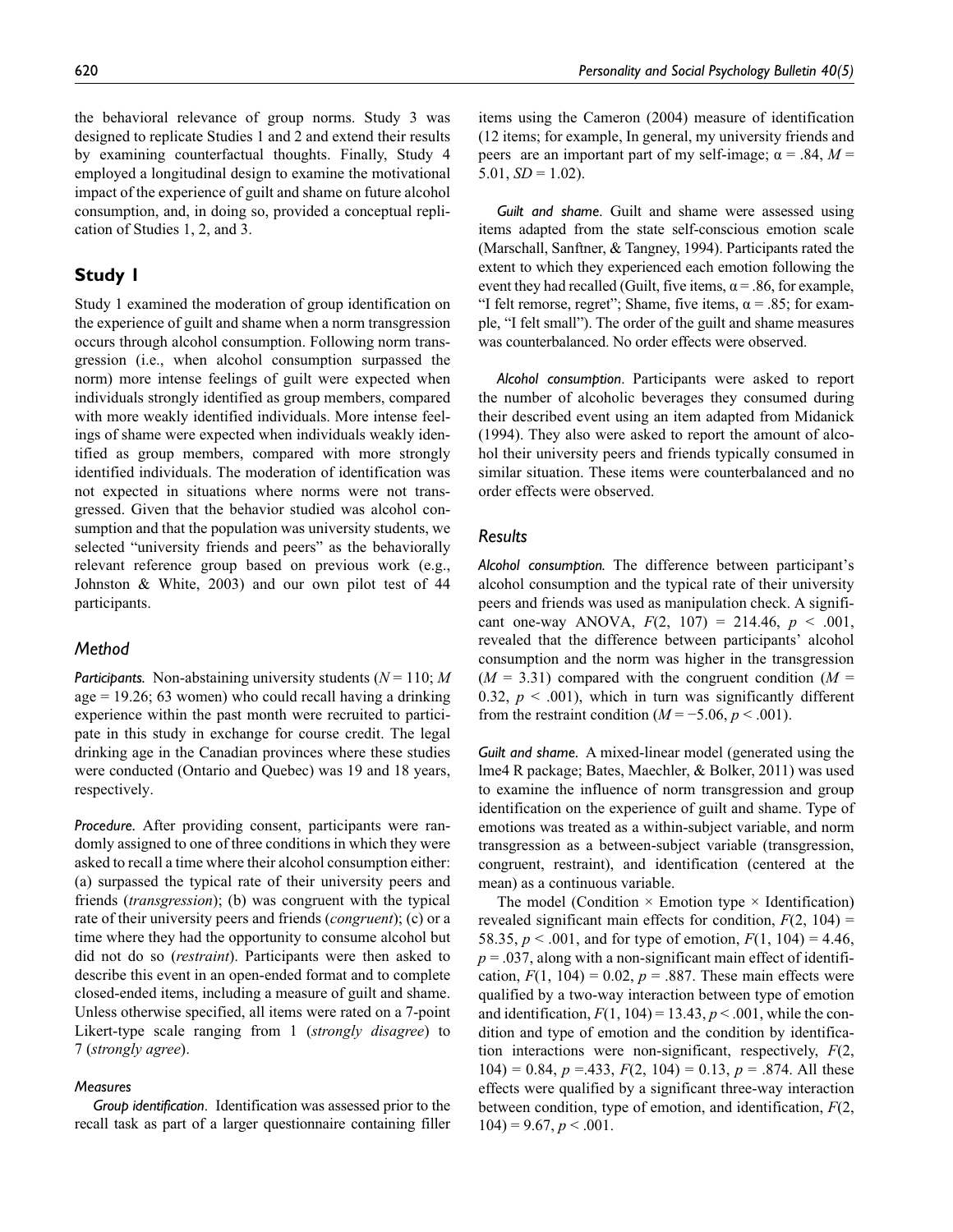the behavioral relevance of group norms. Study 3 was designed to replicate Studies 1 and 2 and extend their results by examining counterfactual thoughts. Finally, Study 4 employed a longitudinal design to examine the motivational impact of the experience of guilt and shame on future alcohol consumption, and, in doing so, provided a conceptual replication of Studies 1, 2, and 3.

## **Study 1**

Study 1 examined the moderation of group identification on the experience of guilt and shame when a norm transgression occurs through alcohol consumption. Following norm transgression (i.e., when alcohol consumption surpassed the norm) more intense feelings of guilt were expected when individuals strongly identified as group members, compared with more weakly identified individuals. More intense feelings of shame were expected when individuals weakly identified as group members, compared with more strongly identified individuals. The moderation of identification was not expected in situations where norms were not transgressed. Given that the behavior studied was alcohol consumption and that the population was university students, we selected "university friends and peers" as the behaviorally relevant reference group based on previous work (e.g., Johnston & White, 2003) and our own pilot test of 44 participants.

## *Method*

*Participants.* Non-abstaining university students (*N* = 110; *M*  $age = 19.26$ ; 63 women) who could recall having a drinking experience within the past month were recruited to participate in this study in exchange for course credit. The legal drinking age in the Canadian provinces where these studies were conducted (Ontario and Quebec) was 19 and 18 years, respectively.

*Procedure.* After providing consent, participants were randomly assigned to one of three conditions in which they were asked to recall a time where their alcohol consumption either: (a) surpassed the typical rate of their university peers and friends (*transgression*); (b) was congruent with the typical rate of their university peers and friends (*congruent*); (c) or a time where they had the opportunity to consume alcohol but did not do so (*restraint*). Participants were then asked to describe this event in an open-ended format and to complete closed-ended items, including a measure of guilt and shame. Unless otherwise specified, all items were rated on a 7-point Likert-type scale ranging from 1 (*strongly disagree*) to 7 (*strongly agree*).

#### *Measures*

*Group identification*. Identification was assessed prior to the recall task as part of a larger questionnaire containing filler

items using the Cameron (2004) measure of identification (12 items; for example, In general, my university friends and peers are an important part of my self-image;  $α = .84$ ,  $M =$  $5.01, SD = 1.02$ .

*Guilt and shame*. Guilt and shame were assessed using items adapted from the state self-conscious emotion scale (Marschall, Sanftner, & Tangney, 1994). Participants rated the extent to which they experienced each emotion following the event they had recalled (Guilt, five items,  $\alpha$  = .86, for example, "I felt remorse, regret"; Shame, five items,  $\alpha$  = .85; for example, "I felt small"). The order of the guilt and shame measures was counterbalanced. No order effects were observed.

*Alcohol consumption*. Participants were asked to report the number of alcoholic beverages they consumed during their described event using an item adapted from Midanick (1994). They also were asked to report the amount of alcohol their university peers and friends typically consumed in similar situation. These items were counterbalanced and no order effects were observed.

## *Results*

*Alcohol consumption.* The difference between participant's alcohol consumption and the typical rate of their university peers and friends was used as manipulation check. A significant one-way ANOVA,  $F(2, 107) = 214.46$ ,  $p < .001$ , revealed that the difference between participants' alcohol consumption and the norm was higher in the transgression  $(M = 3.31)$  compared with the congruent condition  $(M = 1.31)$ 0.32,  $p < .001$ ), which in turn was significantly different from the restraint condition  $(M = -5.06, p < .001)$ .

*Guilt and shame.* A mixed-linear model (generated using the lme4 R package; Bates, Maechler, & Bolker, 2011) was used to examine the influence of norm transgression and group identification on the experience of guilt and shame. Type of emotions was treated as a within-subject variable, and norm transgression as a between-subject variable (transgression, congruent, restraint), and identification (centered at the mean) as a continuous variable.

The model (Condition  $\times$  Emotion type  $\times$  Identification) revealed significant main effects for condition,  $F(2, 104) =$ 58.35,  $p < .001$ , and for type of emotion,  $F(1, 104) = 4.46$ ,  $p = 0.037$ , along with a non-significant main effect of identification,  $F(1, 104) = 0.02$ ,  $p = .887$ . These main effects were qualified by a two-way interaction between type of emotion and identification,  $F(1, 104) = 13.43$ ,  $p < .001$ , while the condition and type of emotion and the condition by identification interactions were non-significant, respectively, *F*(2,  $104$ ) = 0.84,  $p = 0.433$ ,  $F(2, 104) = 0.13$ ,  $p = 0.874$ . All these effects were qualified by a significant three-way interaction between condition, type of emotion, and identification, *F*(2,  $104$ ) [= 9.67,](http://psp.sagepub.com/)  $p < .001$ .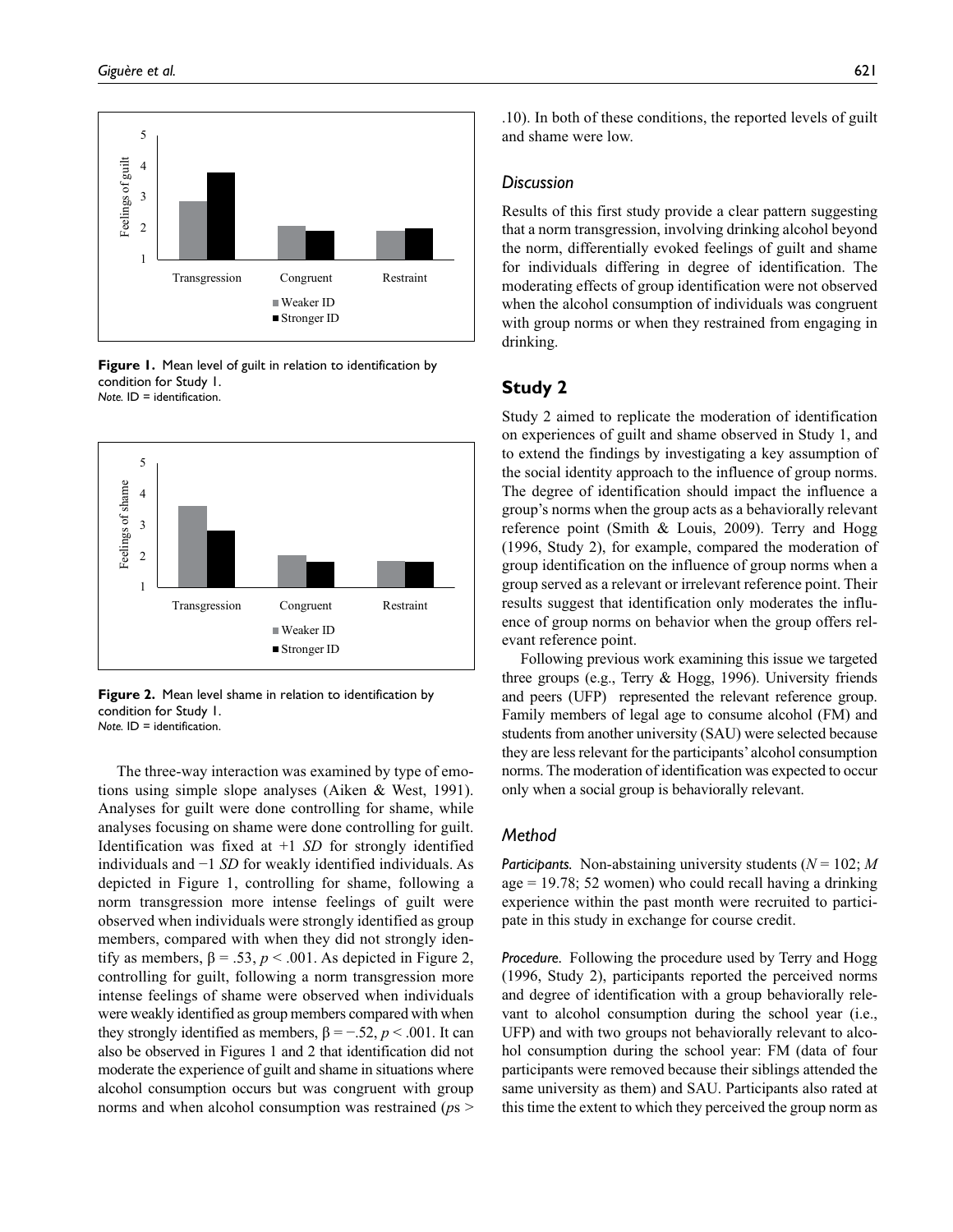

**Figure 1.** Mean level of guilt in relation to identification by condition for Study 1. *Note.* ID = identification.



**Figure 2.** Mean level shame in relation to identification by condition for Study 1. *Note.* ID = identification.

The three-way interaction was examined by type of emo-

tions using simple slope analyses (Aiken & West, 1991). Analyses for guilt were done controlling for shame, while analyses focusing on shame were done controlling for guilt. Identification was fixed at +1 *SD* for strongly identified individuals and −1 *SD* for weakly identified individuals. As depicted in Figure 1, controlling for shame, following a norm transgression more intense feelings of guilt were observed when individuals were strongly identified as group members, compared with when they did not strongly identify as members,  $\beta = .53$ ,  $p < .001$ . As depicted in Figure 2, controlling for guilt, following a norm transgression more intense feelings of shame were observed when individuals were weakly identified as group members compared with when they strongly identified as members,  $β = -.52, p < .001$ . It can also be observed in Figures 1 and 2 that identification did not moderate the experience of guilt and shame in situations where alcohol consumption occurs but was congruent with group norms and when alcohol consumption was restrained ( $p_s$  >

.10). In both of these conditions, the reported levels of guilt and shame were low.

## *Discussion*

Results of this first study provide a clear pattern suggesting that a norm transgression, involving drinking alcohol beyond the norm, differentially evoked feelings of guilt and shame for individuals differing in degree of identification. The moderating effects of group identification were not observed when the alcohol consumption of individuals was congruent with group norms or when they restrained from engaging in drinking.

## **Study 2**

Study 2 aimed to replicate the moderation of identification on experiences of guilt and shame observed in Study 1, and to extend the findings by investigating a key assumption of the social identity approach to the influence of group norms. The degree of identification should impact the influence a group's norms when the group acts as a behaviorally relevant reference point (Smith & Louis, 2009). Terry and Hogg (1996, Study 2), for example, compared the moderation of group identification on the influence of group norms when a group served as a relevant or irrelevant reference point. Their results suggest that identification only moderates the influence of group norms on behavior when the group offers relevant reference point.

Following previous work examining this issue we targeted three groups (e.g., Terry & Hogg, 1996). University friends and peers (UFP) represented the relevant reference group. Family members of legal age to consume alcohol (FM) and students from another university (SAU) were selected because they are less relevant for the participants' alcohol consumption norms. The moderation of identification was expected to occur only when a social group is behaviorally relevant.

## *Method*

*Participants.* Non-abstaining university students (*N* = 102; *M*  $age = 19.78$ ; 52 women) who could recall having a drinking experience within the past month were recruited to participate in this study in exchange for course credit.

*Procedure.* Following the procedure used by Terry and Hogg (1996, Study 2), participants reported the perceived norms and degree of identification with a group behaviorally relevant to alcohol consumption during the school year (i.e., UFP) and with two groups not behaviorally relevant to alcohol consumption during the school year: FM (data of four participants were removed because their siblings attended the same university as them) and SAU. Participants also rated at this time the extent to which they perceived the group norm as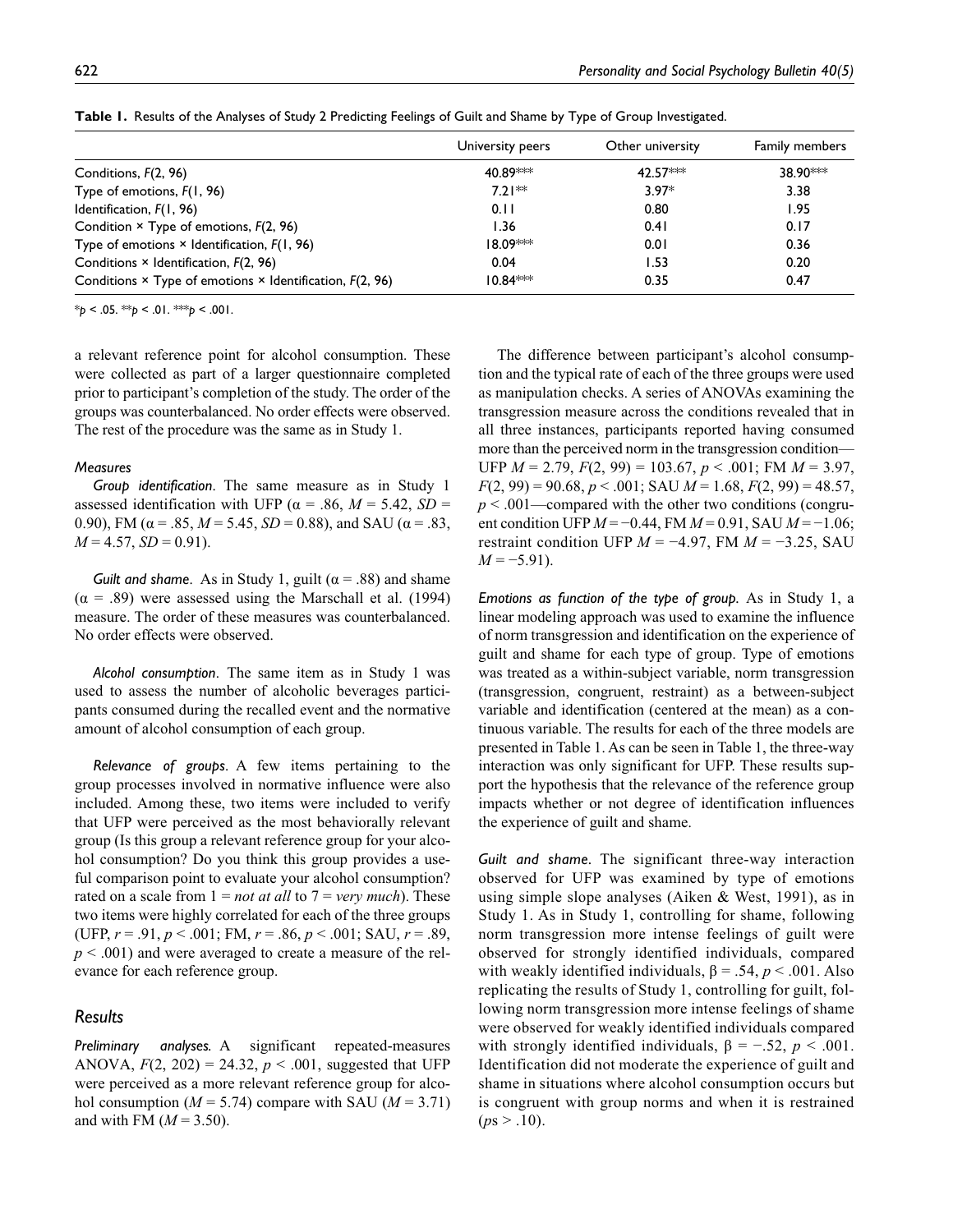|                                                                          | University peers | Other university | <b>Family members</b> |
|--------------------------------------------------------------------------|------------------|------------------|-----------------------|
| Conditions, F(2, 96)                                                     | 40.89***         | 42.57***         | 38.90***              |
| Type of emotions, $F(1, 96)$                                             | $7.21**$         | $3.97*$          | 3.38                  |
| Identification, $F(1, 96)$                                               | 0.11             | 0.80             | 1.95                  |
| Condition $\times$ Type of emotions, $F(2, 96)$                          | 1.36             | 0.41             | 0.17                  |
| Type of emotions $\times$ Identification, $F(1, 96)$                     | $18.09***$       | 0.01             | 0.36                  |
| Conditions × Identification, F(2, 96)                                    | 0.04             | 1.53             | 0.20                  |
| Conditions $\times$ Type of emotions $\times$ Identification, $F(2, 96)$ | $10.84***$       | 0.35             | 0.47                  |

**Table 1.** Results of the Analyses of Study 2 Predicting Feelings of Guilt and Shame by Type of Group Investigated.

\**p* < .05. \*\**p* < .01. \*\*\**p* < .001.

a relevant reference point for alcohol consumption. These were collected as part of a larger questionnaire completed prior to participant's completion of the study. The order of the groups was counterbalanced. No order effects were observed. The rest of the procedure was the same as in Study 1.

#### *Measures*

*Group identification*. The same measure as in Study 1 assessed identification with UFP ( $\alpha$  = .86,  $M$  = 5.42, *SD* = 0.90), FM ( $\alpha$  = .85,  $M = 5.45$ ,  $SD = 0.88$ ), and SAU ( $\alpha$  = .83,  $M = 4.57$ ,  $SD = 0.91$ ).

*Guilt and shame.* As in Study 1, guilt ( $\alpha$  = .88) and shame  $(\alpha = .89)$  were assessed using the Marschall et al. (1994) measure. The order of these measures was counterbalanced. No order effects were observed.

*Alcohol consumption*. The same item as in Study 1 was used to assess the number of alcoholic beverages participants consumed during the recalled event and the normative amount of alcohol consumption of each group.

*Relevance of groups*. A few items pertaining to the group processes involved in normative influence were also included. Among these, two items were included to verify that UFP were perceived as the most behaviorally relevant group (Is this group a relevant reference group for your alcohol consumption? Do you think this group provides a useful comparison point to evaluate your alcohol consumption? rated on a scale from 1 = *not at all* to 7 = *very much*). These two items were highly correlated for each of the three groups (UFP, *r* = .91, *p* < .001; FM, *r* = .86, *p* < .001; SAU, *r* = .89, *p* < .001) and were averaged to create a measure of the relevance for each reference group.

#### *Results*

*Preliminary analyses.* A significant repeated-measures ANOVA, *F*(2, 202) = 24.32, *p* < .001, suggested that UFP were perceived as a more relevant reference group for alcohol consumption ( $M = 5.74$ ) compare with SAU ( $M = 3.71$ ) and with FM  $(M = 3.50)$ .

The difference between participant's alcohol consumption and the typical rate of each of the three groups were used as manipulation checks. A series of ANOVAs examining the transgression measure across the conditions revealed that in all three instances, participants reported having consumed more than the perceived norm in the transgression condition— UFP *M* = 2.79, *F*(2, 99) = 103.67, *p* < .001; FM *M* = 3.97, *F*(2, 99) = 90.68, *p* < .001; SAU *M* = 1.68, *F*(2, 99) = 48.57,  $p < .001$ —compared with the other two conditions (congruent condition UFP *M* = −0.44, FM *M* = 0.91, SAU *M* = −1.06; restraint condition UFP *M* = −4.97, FM *M* = −3.25, SAU  $M = -5.91$ .

*Emotions as function of the type of group.* As in Study 1, a linear modeling approach was used to examine the influence of norm transgression and identification on the experience of guilt and shame for each type of group. Type of emotions was treated as a within-subject variable, norm transgression (transgression, congruent, restraint) as a between-subject variable and identification (centered at the mean) as a continuous variable. The results for each of the three models are presented in Table 1. As can be seen in Table 1, the three-way interaction was only significant for UFP. These results support the hypothesis that the relevance of the reference group impacts whether or not degree of identification influences the experience of guilt and shame.

*Guilt and shame.* The significant three-way interaction observed for UFP was examined by type of emotions using simple slope analyses (Aiken & West, 1991), as in Study 1. As in Study 1, controlling for shame, following norm transgression more intense feelings of guilt were observed for strongly identified individuals, compared with weakly identified individuals,  $\beta = .54$ ,  $p < .001$ . Also replicating the results of Study 1, controlling for guilt, following norm transgression more intense feelings of shame were observed for weakly identified individuals compared with strongly identified individuals,  $\beta = -.52$ ,  $p < .001$ . Identification did not moderate the experience of guilt and shame in situations where alcohol consumption occurs but is congruent with group norms and when it is restrained  $(ps > .10)$ .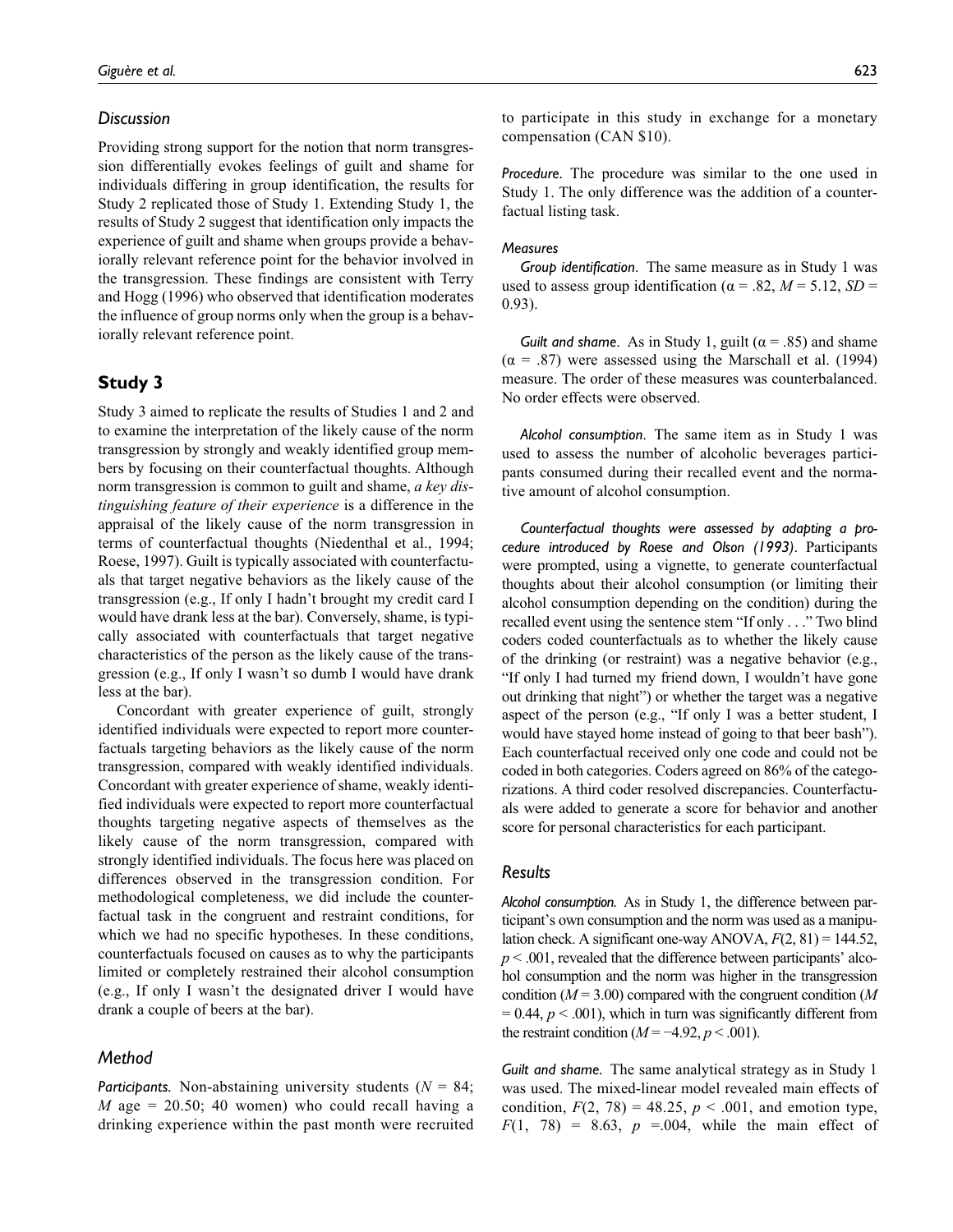## *Discussion*

Providing strong support for the notion that norm transgression differentially evokes feelings of guilt and shame for individuals differing in group identification, the results for Study 2 replicated those of Study 1. Extending Study 1, the results of Study 2 suggest that identification only impacts the experience of guilt and shame when groups provide a behaviorally relevant reference point for the behavior involved in the transgression. These findings are consistent with Terry and Hogg (1996) who observed that identification moderates the influence of group norms only when the group is a behaviorally relevant reference point.

## **Study 3**

Study 3 aimed to replicate the results of Studies 1 and 2 and to examine the interpretation of the likely cause of the norm transgression by strongly and weakly identified group members by focusing on their counterfactual thoughts. Although norm transgression is common to guilt and shame, *a key distinguishing feature of their experience* is a difference in the appraisal of the likely cause of the norm transgression in terms of counterfactual thoughts (Niedenthal et al., 1994; Roese, 1997). Guilt is typically associated with counterfactuals that target negative behaviors as the likely cause of the transgression (e.g., If only I hadn't brought my credit card I would have drank less at the bar). Conversely, shame, is typically associated with counterfactuals that target negative characteristics of the person as the likely cause of the transgression (e.g., If only I wasn't so dumb I would have drank less at the bar).

Concordant with greater experience of guilt, strongly identified individuals were expected to report more counterfactuals targeting behaviors as the likely cause of the norm transgression, compared with weakly identified individuals. Concordant with greater experience of shame, weakly identified individuals were expected to report more counterfactual thoughts targeting negative aspects of themselves as the likely cause of the norm transgression, compared with strongly identified individuals. The focus here was placed on differences observed in the transgression condition. For methodological completeness, we did include the counterfactual task in the congruent and restraint conditions, for which we had no specific hypotheses. In these conditions, counterfactuals focused on causes as to why the participants limited or completely restrained their alcohol consumption (e.g., If only I wasn't the designated driver I would have drank a couple of beers at the bar).

## *Method*

*Participants.* Non-abstaining university students (*N* = 84;  $M$  age = 20.50; 40 women) who could recall having a drinking experience within the past month were recruited

to participate in this study in exchange for a monetary compensation (CAN \$10).

*Procedure.* The procedure was similar to the one used in Study 1. The only difference was the addition of a counterfactual listing task.

## *Measures*

*Group identification*. The same measure as in Study 1 was used to assess group identification ( $\alpha$  = .82,  $M$  = 5.12,  $SD$  = 0.93).

*Guilt and shame.* As in Study 1, guilt  $(\alpha = .85)$  and shame  $(\alpha = .87)$  were assessed using the Marschall et al. (1994) measure. The order of these measures was counterbalanced. No order effects were observed.

*Alcohol consumption*. The same item as in Study 1 was used to assess the number of alcoholic beverages participants consumed during their recalled event and the normative amount of alcohol consumption.

*Counterfactual thoughts were assessed by adapting a procedure introduced by Roese and Olson (1993)*. Participants were prompted, using a vignette, to generate counterfactual thoughts about their alcohol consumption (or limiting their alcohol consumption depending on the condition) during the recalled event using the sentence stem "If only . . ." Two blind coders coded counterfactuals as to whether the likely cause of the drinking (or restraint) was a negative behavior (e.g., "If only I had turned my friend down, I wouldn't have gone out drinking that night") or whether the target was a negative aspect of the person (e.g., "If only I was a better student, I would have stayed home instead of going to that beer bash"). Each counterfactual received only one code and could not be coded in both categories. Coders agreed on 86% of the categorizations. A third coder resolved discrepancies. Counterfactuals were added to generate a score for behavior and another score for personal characteristics for each participant.

### *Results*

*Alcohol consumption.* As in Study 1, the difference between participant's own consumption and the norm was used as a manipulation check. A significant one-way ANOVA, *F*(2, 81) = 144.52,  $p < .001$ , revealed that the difference between participants' alcohol consumption and the norm was higher in the transgression condition (*M* = 3.00) compared with the congruent condition (*M*  $= 0.44$ ,  $p < .001$ ), which in turn was significantly different from the restraint condition ( $M = -4.92$ ,  $p < .001$ ).

*Guilt and shame.* The same analytical strategy as in Study 1 was used. The mixed-linear model revealed main effects of condition,  $F(2, 78) = 48.25$ ,  $p < .001$ , and emotion type,  $F(1, 78) = 8.63, p = 0.04$  $F(1, 78) = 8.63, p = 0.04$  $F(1, 78) = 8.63, p = 0.04$ , while the main effect of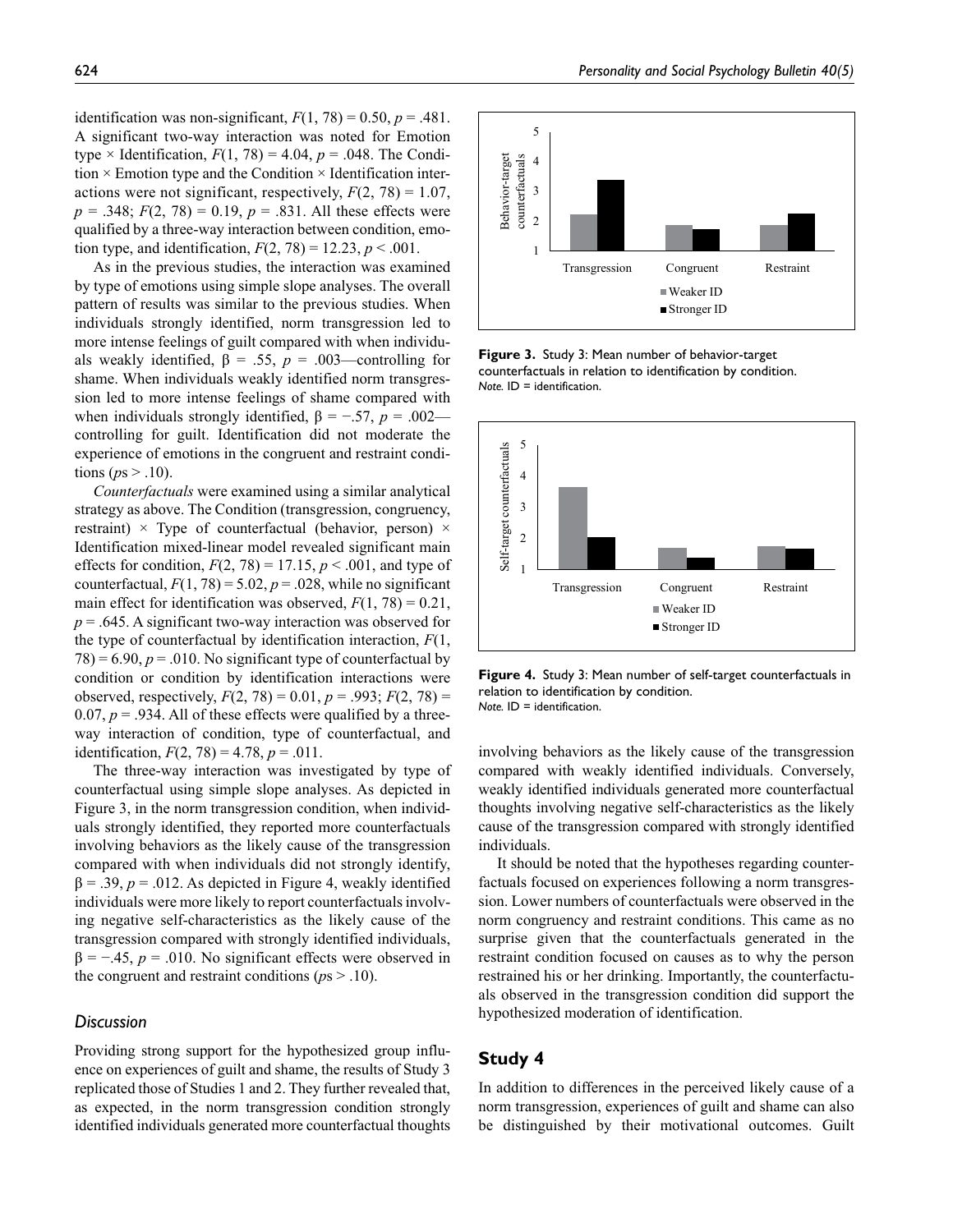identification was non-significant,  $F(1, 78) = 0.50$ ,  $p = .481$ . A significant two-way interaction was noted for Emotion type  $\times$  Identification,  $F(1, 78) = 4.04$ ,  $p = .048$ . The Condition  $\times$  Emotion type and the Condition  $\times$  Identification interactions were not significant, respectively,  $F(2, 78) = 1.07$ ,  $p = .348$ ;  $F(2, 78) = 0.19$ ,  $p = .831$ . All these effects were qualified by a three-way interaction between condition, emotion type, and identification,  $F(2, 78) = 12.23$ ,  $p < .001$ .

As in the previous studies, the interaction was examined by type of emotions using simple slope analyses. The overall pattern of results was similar to the previous studies. When individuals strongly identified, norm transgression led to more intense feelings of guilt compared with when individuals weakly identified,  $\beta = .55$ ,  $p = .003$ —controlling for shame. When individuals weakly identified norm transgression led to more intense feelings of shame compared with when individuals strongly identified,  $\beta = -.57$ ,  $p = .002$  controlling for guilt. Identification did not moderate the experience of emotions in the congruent and restraint conditions ( $ps > .10$ ).

*Counterfactuals* were examined using a similar analytical strategy as above. The Condition (transgression, congruency, restraint)  $\times$  Type of counterfactual (behavior, person)  $\times$ Identification mixed-linear model revealed significant main effects for condition,  $F(2, 78) = 17.15$ ,  $p < .001$ , and type of counterfactual,  $F(1, 78) = 5.02$ ,  $p = .028$ , while no significant main effect for identification was observed,  $F(1, 78) = 0.21$ , *p* = .645. A significant two-way interaction was observed for the type of counterfactual by identification interaction, *F*(1,  $78$ ) = 6.90,  $p = 0.010$ . No significant type of counterfactual by condition or condition by identification interactions were observed, respectively,  $F(2, 78) = 0.01$ ,  $p = .993$ ;  $F(2, 78) =$ 0.07,  $p = 0.934$ . All of these effects were qualified by a threeway interaction of condition, type of counterfactual, and identification,  $F(2, 78) = 4.78$ ,  $p = .011$ .

The three-way interaction was investigated by type of counterfactual using simple slope analyses. As depicted in Figure 3, in the norm transgression condition, when individuals strongly identified, they reported more counterfactuals involving behaviors as the likely cause of the transgression compared with when individuals did not strongly identify,  $\beta = .39$ ,  $p = .012$ . As depicted in Figure 4, weakly identified individuals were more likely to report counterfactuals involving negative self-characteristics as the likely cause of the transgression compared with strongly identified individuals,  $\beta = -0.45$ ,  $p = 0.010$ . No significant effects were observed in the congruent and restraint conditions ( $ps > .10$ ).

#### *Discussion*

Providing strong support for the hypothesized group influence on experiences of guilt and shame, the results of Study 3 replicated those of Studies 1 and 2. They further revealed that, as expected, in the norm transgression condition strongly identified individuals generated more counterfactual thoughts



**Figure 3.** Study 3: Mean number of behavior-target counterfactuals in relation to identification by condition. *Note.* ID = identification.



**Figure 4.** Study 3: Mean number of self-target counterfactuals in relation to identification by condition. *Note.* ID = identification.

involving behaviors as the likely cause of the transgression compared with weakly identified individuals. Conversely, weakly identified individuals generated more counterfactual thoughts involving negative self-characteristics as the likely cause of the transgression compared with strongly identified individuals.

It should be noted that the hypotheses regarding counterfactuals focused on experiences following a norm transgression. Lower numbers of counterfactuals were observed in the norm congruency and restraint conditions. This came as no surprise given that the counterfactuals generated in the restraint condition focused on causes as to why the person restrained his or her drinking. Importantly, the counterfactuals observed in the transgression condition did support the hypothesized moderation of identification.

# **Study 4**

In addition to differences in the perceived likely cause of a norm transgression, experiences of guilt and shame can also be di[stinguished](http://psp.sagepub.com/) by their motivational outcomes. Guilt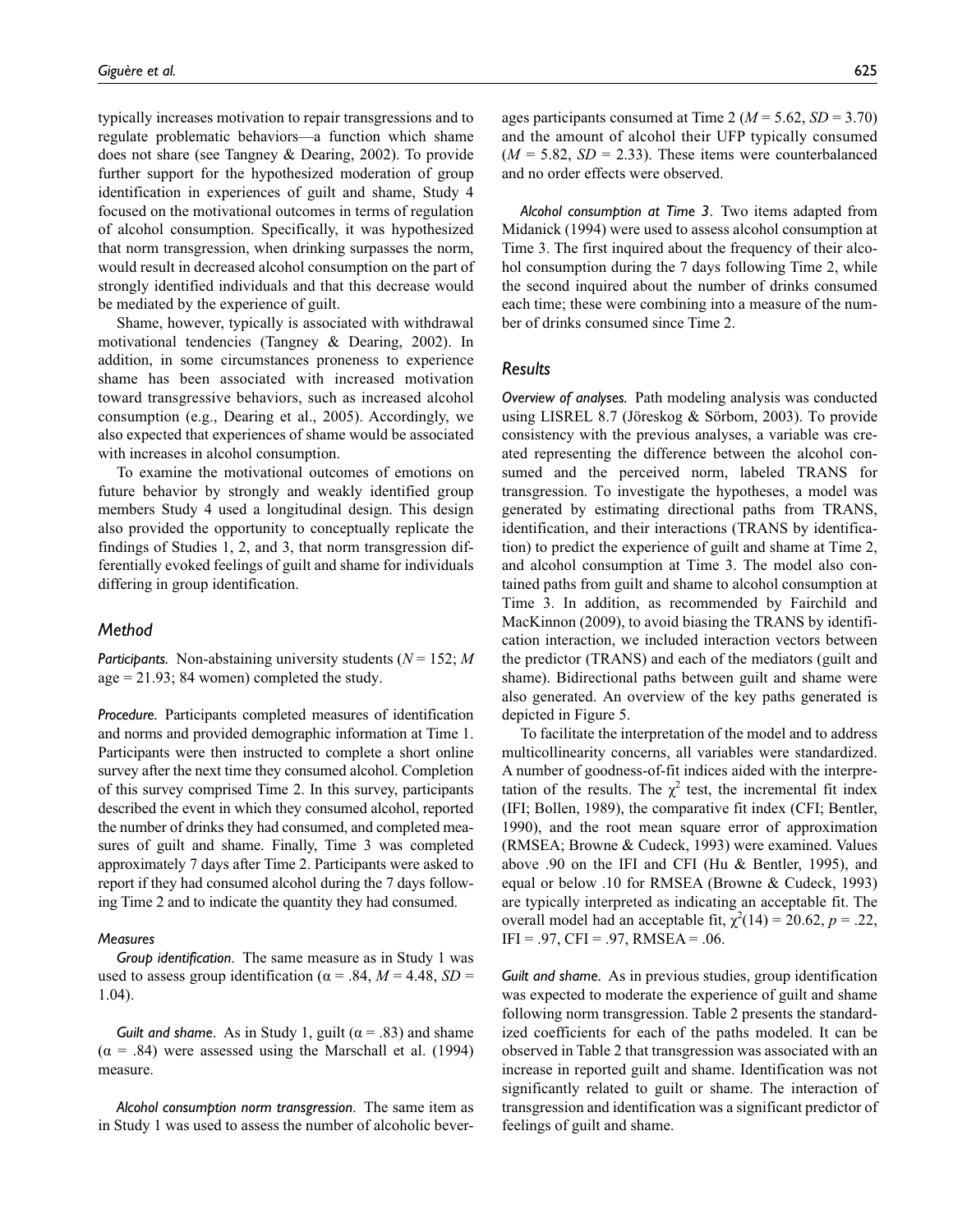typically increases motivation to repair transgressions and to regulate problematic behaviors—a function which shame does not share (see Tangney & Dearing, 2002). To provide further support for the hypothesized moderation of group identification in experiences of guilt and shame, Study 4 focused on the motivational outcomes in terms of regulation of alcohol consumption. Specifically, it was hypothesized that norm transgression, when drinking surpasses the norm, would result in decreased alcohol consumption on the part of strongly identified individuals and that this decrease would be mediated by the experience of guilt.

Shame, however, typically is associated with withdrawal motivational tendencies (Tangney & Dearing, 2002). In addition, in some circumstances proneness to experience shame has been associated with increased motivation toward transgressive behaviors, such as increased alcohol consumption (e.g., Dearing et al., 2005). Accordingly, we also expected that experiences of shame would be associated with increases in alcohol consumption.

To examine the motivational outcomes of emotions on future behavior by strongly and weakly identified group members Study 4 used a longitudinal design. This design also provided the opportunity to conceptually replicate the findings of Studies 1, 2, and 3, that norm transgression differentially evoked feelings of guilt and shame for individuals differing in group identification.

#### *Method*

*Participants.* Non-abstaining university students (*N* = 152; *M*  $age = 21.93$ ; 84 women) completed the study.

*Procedure.* Participants completed measures of identification and norms and provided demographic information at Time 1. Participants were then instructed to complete a short online survey after the next time they consumed alcohol. Completion of this survey comprised Time 2. In this survey, participants described the event in which they consumed alcohol, reported the number of drinks they had consumed, and completed measures of guilt and shame. Finally, Time 3 was completed approximately 7 days after Time 2. Participants were asked to report if they had consumed alcohol during the 7 days following Time 2 and to indicate the quantity they had consumed.

#### *Measures*

*Group identification*. The same measure as in Study 1 was used to assess group identification ( $\alpha$  = .84,  $M$  = 4.48, *SD* = 1.04).

*Guilt and shame.* As in Study 1, guilt  $(\alpha = .83)$  and shame  $(\alpha = .84)$  were assessed using the Marschall et al. (1994) measure.

*Alcohol consumption norm transgression*. The same item as in Study 1 was used to assess the number of alcoholic beverages participants consumed at Time 2 ( $M = 5.62$ ,  $SD = 3.70$ ) and the amount of alcohol their UFP typically consumed  $(M = 5.82, SD = 2.33)$ . These items were counterbalanced and no order effects were observed.

*Alcohol consumption at Time 3*. Two items adapted from Midanick (1994) were used to assess alcohol consumption at Time 3. The first inquired about the frequency of their alcohol consumption during the 7 days following Time 2, while the second inquired about the number of drinks consumed each time; these were combining into a measure of the number of drinks consumed since Time 2.

### *Results*

*Overview of analyses.* Path modeling analysis was conducted using LISREL 8.7 (Jöreskog & Sörbom, 2003). To provide consistency with the previous analyses, a variable was created representing the difference between the alcohol consumed and the perceived norm, labeled TRANS for transgression. To investigate the hypotheses, a model was generated by estimating directional paths from TRANS, identification, and their interactions (TRANS by identification) to predict the experience of guilt and shame at Time 2, and alcohol consumption at Time 3. The model also contained paths from guilt and shame to alcohol consumption at Time 3. In addition, as recommended by Fairchild and MacKinnon (2009), to avoid biasing the TRANS by identification interaction, we included interaction vectors between the predictor (TRANS) and each of the mediators (guilt and shame). Bidirectional paths between guilt and shame were also generated. An overview of the key paths generated is depicted in Figure 5.

To facilitate the interpretation of the model and to address multicollinearity concerns, all variables were standardized. A number of goodness-of-fit indices aided with the interpretation of the results. The  $\chi^2$  test, the incremental fit index (IFI; Bollen, 1989), the comparative fit index (CFI; Bentler, 1990), and the root mean square error of approximation (RMSEA; Browne & Cudeck, 1993) were examined. Values above .90 on the IFI and CFI (Hu & Bentler, 1995), and equal or below .10 for RMSEA (Browne & Cudeck, 1993) are typically interpreted as indicating an acceptable fit. The overall model had an acceptable fit,  $\chi^2(14) = 20.62$ ,  $p = .22$ ,  $IFI = .97, CFI = .97, RMSEA = .06.$ 

*Guilt and shame.* As in previous studies, group identification was expected to moderate the experience of guilt and shame following norm transgression. Table 2 presents the standardized coefficients for each of the paths modeled. It can be observed in Table 2 that transgression was associated with an increase in reported guilt and shame. Identification was not significantly related to guilt or shame. The interaction of transgression and identification was a significant predictor of fe[elings of gu](http://psp.sagepub.com/)ilt and shame.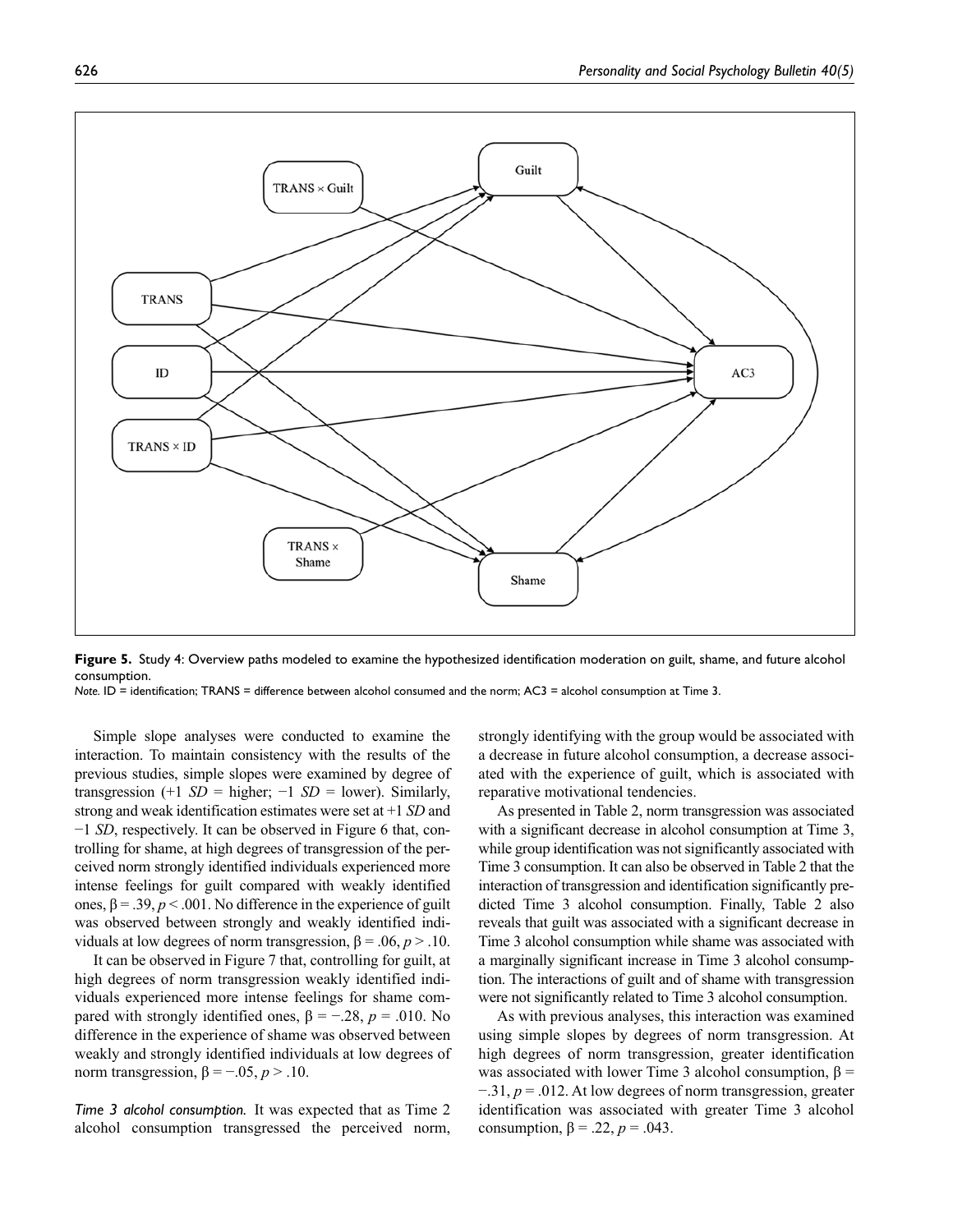

**Figure 5.** Study 4: Overview paths modeled to examine the hypothesized identification moderation on guilt, shame, and future alcohol consumption.

*Note.* ID = identification; TRANS = difference between alcohol consumed and the norm; AC3 = alcohol consumption at Time 3.

Simple slope analyses were conducted to examine the interaction. To maintain consistency with the results of the previous studies, simple slopes were examined by degree of transgression  $(+1 S_D)$  = higher;  $-1 S_D$  = lower). Similarly, strong and weak identification estimates were set at +1 *SD* and −1 *SD*, respectively. It can be observed in Figure 6 that, controlling for shame, at high degrees of transgression of the perceived norm strongly identified individuals experienced more intense feelings for guilt compared with weakly identified ones,  $\beta = .39$ ,  $p < .001$ . No difference in the experience of guilt was observed between strongly and weakly identified individuals at low degrees of norm transgression, β = .06, *p* > .10.

It can be observed in Figure 7 that, controlling for guilt, at high degrees of norm transgression weakly identified individuals experienced more intense feelings for shame compared with strongly identified ones,  $β = -.28$ ,  $p = .010$ . No difference in the experience of shame was observed between weakly and strongly identified individuals at low degrees of norm transgression,  $\beta = -.05, p > .10$ .

*Time 3 alcohol consumption.* It was expected that as Time 2 alcohol consumption transgressed the perceived norm, strongly identifying with the group would be associated with a decrease in future alcohol consumption, a decrease associated with the experience of guilt, which is associated with reparative motivational tendencies.

As presented in Table 2, norm transgression was associated with a significant decrease in alcohol consumption at Time 3, while group identification was not significantly associated with Time 3 consumption. It can also be observed in Table 2 that the interaction of transgression and identification significantly predicted Time 3 alcohol consumption. Finally, Table 2 also reveals that guilt was associated with a significant decrease in Time 3 alcohol consumption while shame was associated with a marginally significant increase in Time 3 alcohol consumption. The interactions of guilt and of shame with transgression were not significantly related to Time 3 alcohol consumption.

As with previous analyses, this interaction was examined using simple slopes by degrees of norm transgression. At high degrees of norm transgression, greater identification was associated with lower Time 3 alcohol consumption,  $\beta$  = −.31, *p* = .012. At low degrees of norm transgression, greater identification was associated with greater Time 3 alcohol consumption,  $\beta = .22$ ,  $p = .043$ .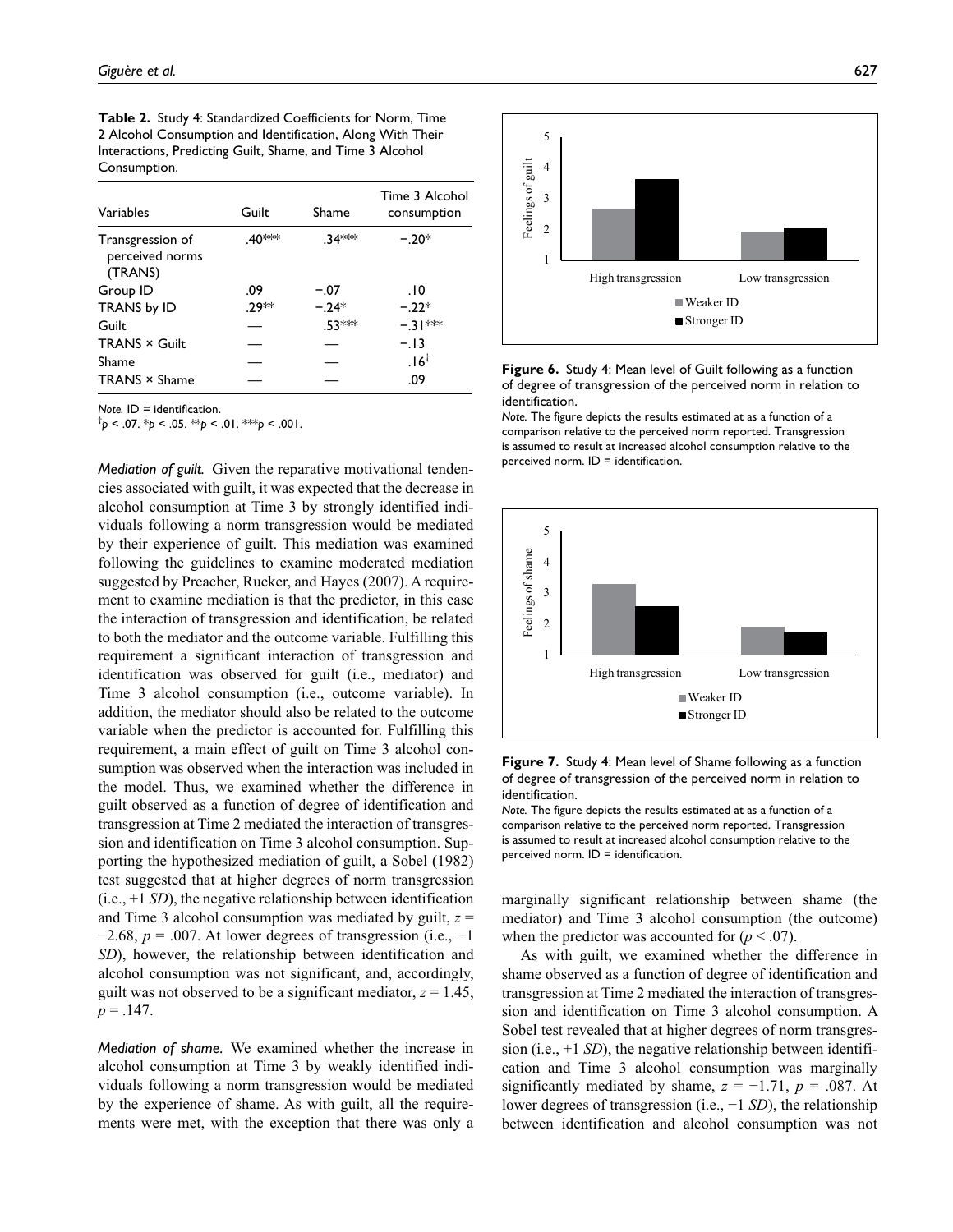| <b>Table 2.</b> Study 4: Standardized Coefficients for Norm, Time |  |  |
|-------------------------------------------------------------------|--|--|
| 2 Alcohol Consumption and Identification, Along With Their        |  |  |
| Interactions, Predicting Guilt, Shame, and Time 3 Alcohol         |  |  |
| Consumption.                                                      |  |  |

| Variables                                      | Guilt    | Shame  | Time 3 Alcohol<br>consumption |
|------------------------------------------------|----------|--------|-------------------------------|
| Transgression of<br>perceived norms<br>(TRANS) | $.40***$ | 34***  | $-20*$                        |
| Group ID                                       | .09      | $-.07$ | 10.                           |
| TRANS by ID                                    | א≉9      | $-24*$ | $-22*$                        |
| Guilt                                          |          | .53 ** | $-31***$                      |
| <b>TRANS × Guilt</b>                           |          |        | $-.13$                        |
| Shame                                          |          |        | .16 <sup>†</sup>              |
| TRANS × Shame                                  |          |        | .09                           |

*Note.* ID = identification.

 $\phi^{\dagger}$ *p* < .07. \**p* < .05. \*\**p* < .01. \*\*\**p* < .001.

*Mediation of guilt.* Given the reparative motivational tendencies associated with guilt, it was expected that the decrease in alcohol consumption at Time 3 by strongly identified individuals following a norm transgression would be mediated by their experience of guilt. This mediation was examined following the guidelines to examine moderated mediation suggested by Preacher, Rucker, and Hayes (2007). A requirement to examine mediation is that the predictor, in this case the interaction of transgression and identification, be related to both the mediator and the outcome variable. Fulfilling this requirement a significant interaction of transgression and identification was observed for guilt (i.e., mediator) and Time 3 alcohol consumption (i.e., outcome variable). In addition, the mediator should also be related to the outcome variable when the predictor is accounted for. Fulfilling this requirement, a main effect of guilt on Time 3 alcohol consumption was observed when the interaction was included in the model. Thus, we examined whether the difference in guilt observed as a function of degree of identification and transgression at Time 2 mediated the interaction of transgression and identification on Time 3 alcohol consumption. Supporting the hypothesized mediation of guilt, a Sobel (1982) test suggested that at higher degrees of norm transgression (i.e., +1 *SD*), the negative relationship between identification and Time 3 alcohol consumption was mediated by guilt, *z* =  $-2.68$ ,  $p = .007$ . At lower degrees of transgression (i.e.,  $-1$ ) *SD*), however, the relationship between identification and alcohol consumption was not significant, and, accordingly, guilt was not observed to be a significant mediator, *z* = 1.45,  $p = .147$ .

*Mediation of shame.* We examined whether the increase in alcohol consumption at Time 3 by weakly identified individuals following a norm transgression would be mediated by the experience of shame. As with guilt, all the requirements were met, with the exception that there was only a



**Figure 6.** Study 4: Mean level of Guilt following as a function of degree of transgression of the perceived norm in relation to identification.

*Note.* The figure depicts the results estimated at as a function of a comparison relative to the perceived norm reported. Transgression is assumed to result at increased alcohol consumption relative to the  $perceived norm. ID = identification.$ 



**Figure 7.** Study 4: Mean level of Shame following as a function of degree of transgression of the perceived norm in relation to identification.

*Note.* The figure depicts the results estimated at as a function of a comparison relative to the perceived norm reported. Transgression is assumed to result at increased alcohol consumption relative to the  $perceived norm. ID = identification.$ 

marginally significant relationship between shame (the mediator) and Time 3 alcohol consumption (the outcome) when the predictor was accounted for  $(p < .07)$ .

As with guilt, we examined whether the difference in shame observed as a function of degree of identification and transgression at Time 2 mediated the interaction of transgression and identification on Time 3 alcohol consumption. A Sobel test revealed that at higher degrees of norm transgression (i.e., +1 *SD*), the negative relationship between identification and Time 3 alcohol consumption was marginally significantly mediated by shame,  $z = -1.71$ ,  $p = .087$ . At lower degrees of transgression (i.e., −1 *SD*), the relationship between identification and alcohol consumption was not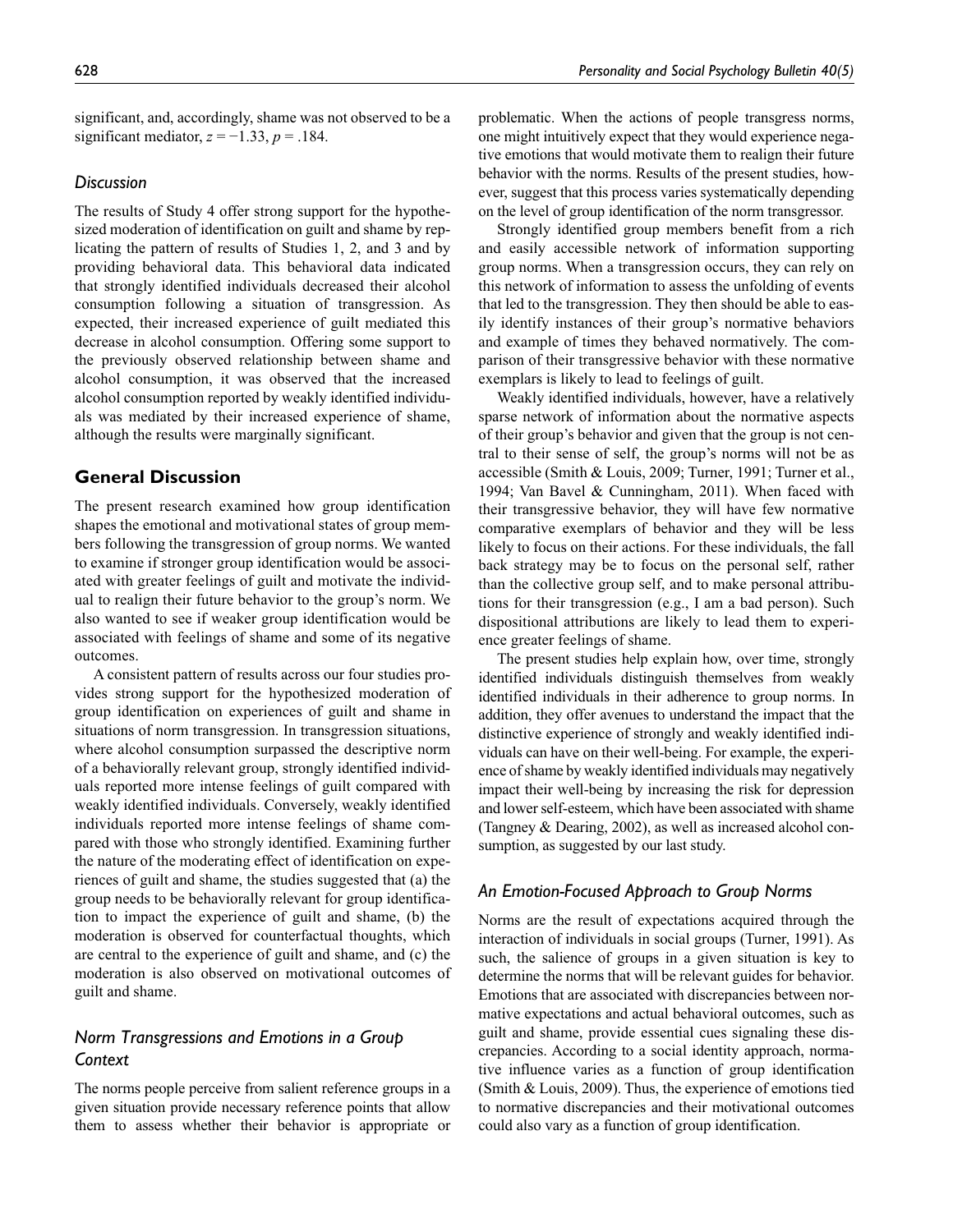significant, and, accordingly, shame was not observed to be a significant mediator,  $z = -1.33$ ,  $p = .184$ .

## *Discussion*

The results of Study 4 offer strong support for the hypothesized moderation of identification on guilt and shame by replicating the pattern of results of Studies 1, 2, and 3 and by providing behavioral data. This behavioral data indicated that strongly identified individuals decreased their alcohol consumption following a situation of transgression. As expected, their increased experience of guilt mediated this decrease in alcohol consumption. Offering some support to the previously observed relationship between shame and alcohol consumption, it was observed that the increased alcohol consumption reported by weakly identified individuals was mediated by their increased experience of shame, although the results were marginally significant.

## **General Discussion**

The present research examined how group identification shapes the emotional and motivational states of group members following the transgression of group norms. We wanted to examine if stronger group identification would be associated with greater feelings of guilt and motivate the individual to realign their future behavior to the group's norm. We also wanted to see if weaker group identification would be associated with feelings of shame and some of its negative outcomes.

A consistent pattern of results across our four studies provides strong support for the hypothesized moderation of group identification on experiences of guilt and shame in situations of norm transgression. In transgression situations, where alcohol consumption surpassed the descriptive norm of a behaviorally relevant group, strongly identified individuals reported more intense feelings of guilt compared with weakly identified individuals. Conversely, weakly identified individuals reported more intense feelings of shame compared with those who strongly identified. Examining further the nature of the moderating effect of identification on experiences of guilt and shame, the studies suggested that (a) the group needs to be behaviorally relevant for group identification to impact the experience of guilt and shame, (b) the moderation is observed for counterfactual thoughts, which are central to the experience of guilt and shame, and (c) the moderation is also observed on motivational outcomes of guilt and shame.

## *Norm Transgressions and Emotions in a Group Context*

The norms people perceive from salient reference groups in a given situation provide necessary reference points that allow them to assess whether their behavior is appropriate or

problematic. When the actions of people transgress norms, one might intuitively expect that they would experience negative emotions that would motivate them to realign their future behavior with the norms. Results of the present studies, however, suggest that this process varies systematically depending on the level of group identification of the norm transgressor.

Strongly identified group members benefit from a rich and easily accessible network of information supporting group norms. When a transgression occurs, they can rely on this network of information to assess the unfolding of events that led to the transgression. They then should be able to easily identify instances of their group's normative behaviors and example of times they behaved normatively. The comparison of their transgressive behavior with these normative exemplars is likely to lead to feelings of guilt.

Weakly identified individuals, however, have a relatively sparse network of information about the normative aspects of their group's behavior and given that the group is not central to their sense of self, the group's norms will not be as accessible (Smith & Louis, 2009; Turner, 1991; Turner et al., 1994; Van Bavel & Cunningham, 2011). When faced with their transgressive behavior, they will have few normative comparative exemplars of behavior and they will be less likely to focus on their actions. For these individuals, the fall back strategy may be to focus on the personal self, rather than the collective group self, and to make personal attributions for their transgression (e.g., I am a bad person). Such dispositional attributions are likely to lead them to experience greater feelings of shame.

The present studies help explain how, over time, strongly identified individuals distinguish themselves from weakly identified individuals in their adherence to group norms. In addition, they offer avenues to understand the impact that the distinctive experience of strongly and weakly identified individuals can have on their well-being. For example, the experience of shame by weakly identified individuals may negatively impact their well-being by increasing the risk for depression and lower self-esteem, which have been associated with shame (Tangney & Dearing, 2002), as well as increased alcohol consumption, as suggested by our last study.

## *An Emotion-Focused Approach to Group Norms*

Norms are the result of expectations acquired through the interaction of individuals in social groups (Turner, 1991). As such, the salience of groups in a given situation is key to determine the norms that will be relevant guides for behavior. Emotions that are associated with discrepancies between normative expectations and actual behavioral outcomes, such as guilt and shame, provide essential cues signaling these discrepancies. According to a social identity approach, normative influence varies as a function of group identification (Smith & Louis, 2009). Thus, the experience of emotions tied to normative discrepancies and their motivational outcomes could [also vary as](http://psp.sagepub.com/) a function of group identification.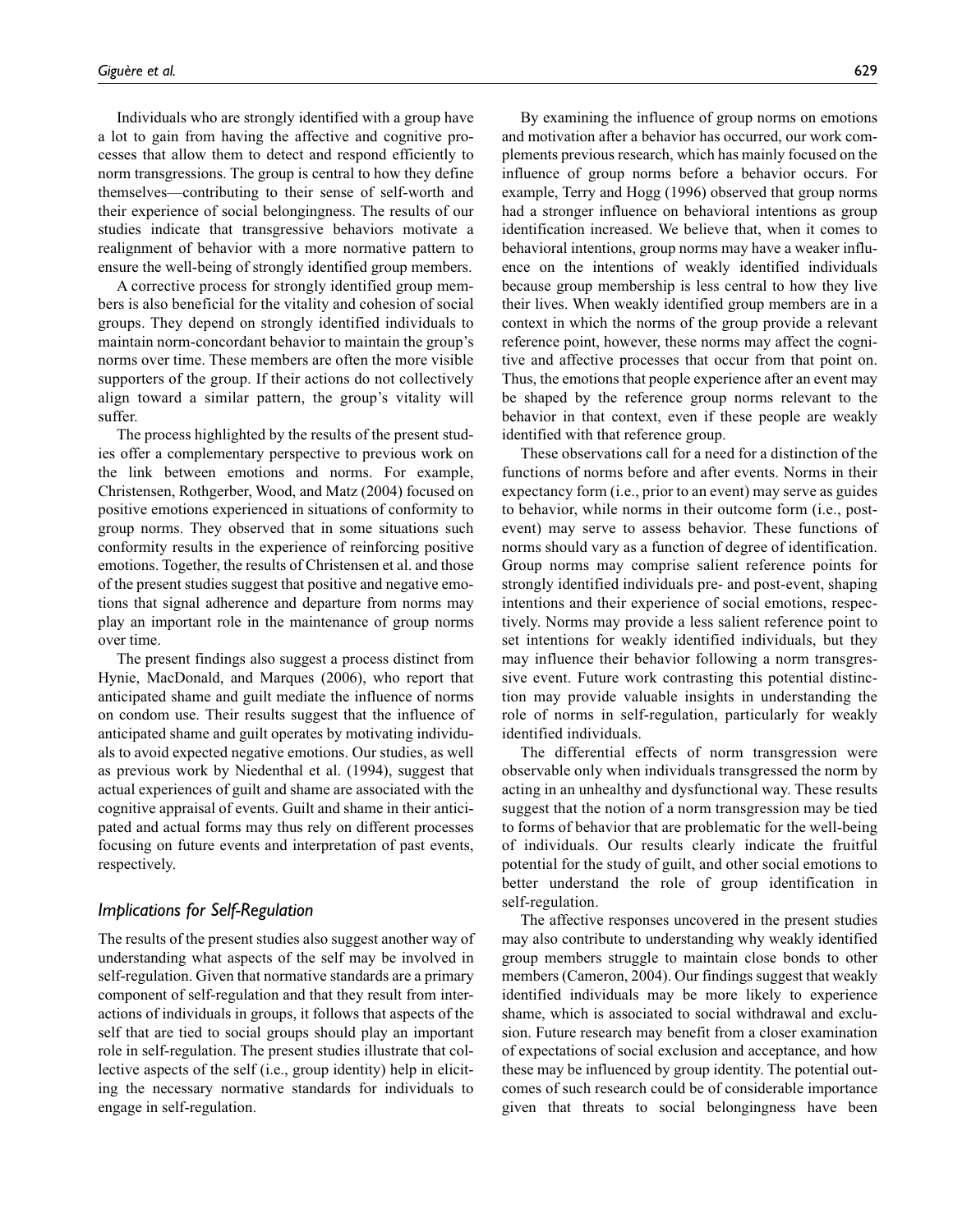Individuals who are strongly identified with a group have a lot to gain from having the affective and cognitive processes that allow them to detect and respond efficiently to norm transgressions. The group is central to how they define themselves—contributing to their sense of self-worth and their experience of social belongingness. The results of our studies indicate that transgressive behaviors motivate a realignment of behavior with a more normative pattern to ensure the well-being of strongly identified group members.

A corrective process for strongly identified group members is also beneficial for the vitality and cohesion of social groups. They depend on strongly identified individuals to maintain norm-concordant behavior to maintain the group's norms over time. These members are often the more visible supporters of the group. If their actions do not collectively align toward a similar pattern, the group's vitality will suffer.

The process highlighted by the results of the present studies offer a complementary perspective to previous work on the link between emotions and norms. For example, Christensen, Rothgerber, Wood, and Matz (2004) focused on positive emotions experienced in situations of conformity to group norms. They observed that in some situations such conformity results in the experience of reinforcing positive emotions. Together, the results of Christensen et al. and those of the present studies suggest that positive and negative emotions that signal adherence and departure from norms may play an important role in the maintenance of group norms over time.

The present findings also suggest a process distinct from Hynie, MacDonald, and Marques (2006), who report that anticipated shame and guilt mediate the influence of norms on condom use. Their results suggest that the influence of anticipated shame and guilt operates by motivating individuals to avoid expected negative emotions. Our studies, as well as previous work by Niedenthal et al. (1994), suggest that actual experiences of guilt and shame are associated with the cognitive appraisal of events. Guilt and shame in their anticipated and actual forms may thus rely on different processes focusing on future events and interpretation of past events, respectively.

## *Implications for Self-Regulation*

The results of the present studies also suggest another way of understanding what aspects of the self may be involved in self-regulation. Given that normative standards are a primary component of self-regulation and that they result from interactions of individuals in groups, it follows that aspects of the self that are tied to social groups should play an important role in self-regulation. The present studies illustrate that collective aspects of the self (i.e., group identity) help in eliciting the necessary normative standards for individuals to engage in self-regulation.

By examining the influence of group norms on emotions and motivation after a behavior has occurred, our work complements previous research, which has mainly focused on the influence of group norms before a behavior occurs. For example, Terry and Hogg (1996) observed that group norms had a stronger influence on behavioral intentions as group identification increased. We believe that, when it comes to behavioral intentions, group norms may have a weaker influence on the intentions of weakly identified individuals because group membership is less central to how they live their lives. When weakly identified group members are in a context in which the norms of the group provide a relevant reference point, however, these norms may affect the cognitive and affective processes that occur from that point on. Thus, the emotions that people experience after an event may be shaped by the reference group norms relevant to the behavior in that context, even if these people are weakly identified with that reference group.

These observations call for a need for a distinction of the functions of norms before and after events. Norms in their expectancy form (i.e., prior to an event) may serve as guides to behavior, while norms in their outcome form (i.e., postevent) may serve to assess behavior. These functions of norms should vary as a function of degree of identification. Group norms may comprise salient reference points for strongly identified individuals pre- and post-event, shaping intentions and their experience of social emotions, respectively. Norms may provide a less salient reference point to set intentions for weakly identified individuals, but they may influence their behavior following a norm transgressive event. Future work contrasting this potential distinction may provide valuable insights in understanding the role of norms in self-regulation, particularly for weakly identified individuals.

The differential effects of norm transgression were observable only when individuals transgressed the norm by acting in an unhealthy and dysfunctional way. These results suggest that the notion of a norm transgression may be tied to forms of behavior that are problematic for the well-being of individuals. Our results clearly indicate the fruitful potential for the study of guilt, and other social emotions to better understand the role of group identification in self-regulation.

The affective responses uncovered in the present studies may also contribute to understanding why weakly identified group members struggle to maintain close bonds to other members (Cameron, 2004). Our findings suggest that weakly identified individuals may be more likely to experience shame, which is associated to social withdrawal and exclusion. Future research may benefit from a closer examination of expectations of social exclusion and acceptance, and how these may be influenced by group identity. The potential outcomes of such research could be of considerable importance given that threats to social belongingness have been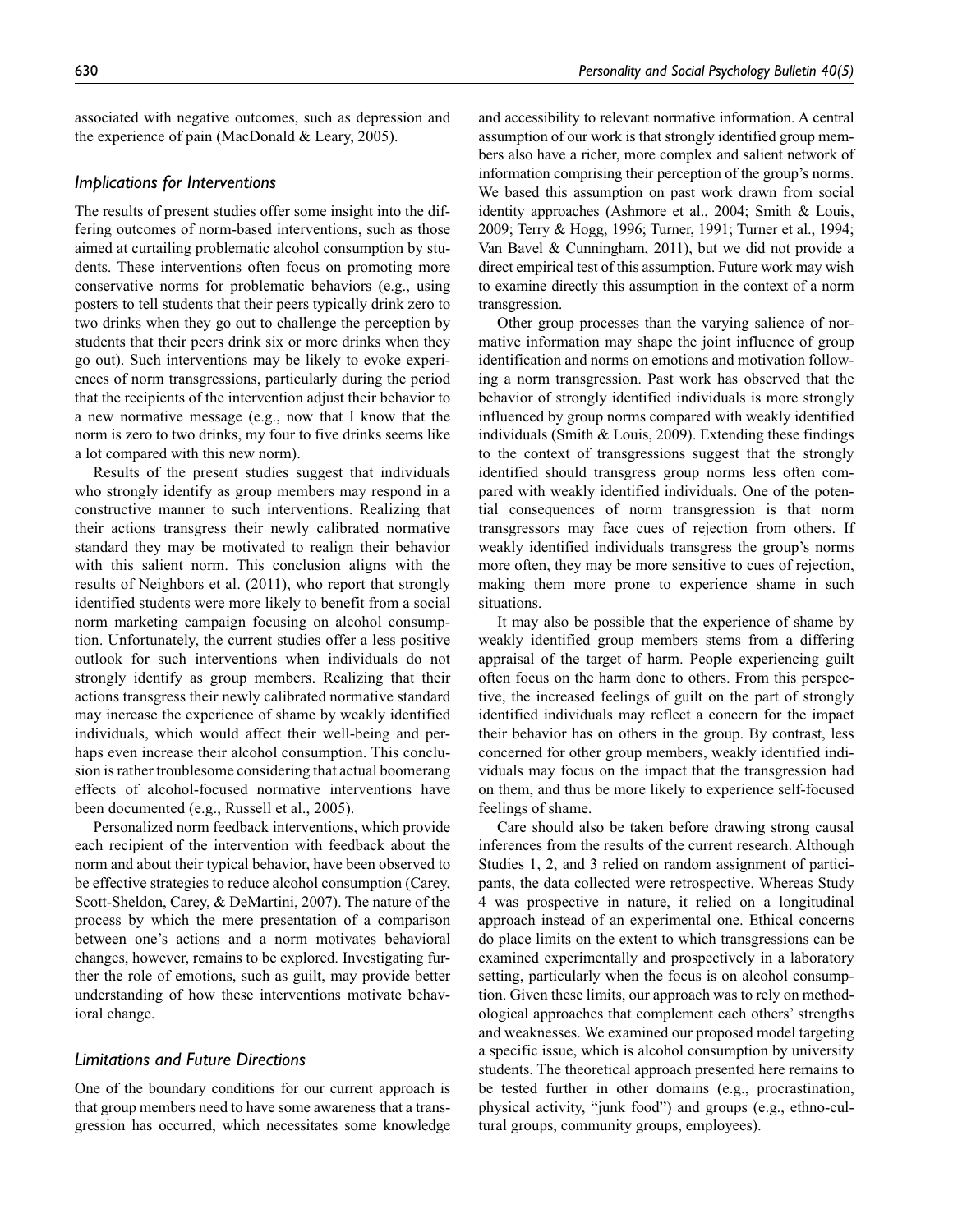associated with negative outcomes, such as depression and the experience of pain (MacDonald & Leary, 2005).

### *Implications for Interventions*

The results of present studies offer some insight into the differing outcomes of norm-based interventions, such as those aimed at curtailing problematic alcohol consumption by students. These interventions often focus on promoting more conservative norms for problematic behaviors (e.g., using posters to tell students that their peers typically drink zero to two drinks when they go out to challenge the perception by students that their peers drink six or more drinks when they go out). Such interventions may be likely to evoke experiences of norm transgressions, particularly during the period that the recipients of the intervention adjust their behavior to a new normative message (e.g., now that I know that the norm is zero to two drinks, my four to five drinks seems like a lot compared with this new norm).

Results of the present studies suggest that individuals who strongly identify as group members may respond in a constructive manner to such interventions. Realizing that their actions transgress their newly calibrated normative standard they may be motivated to realign their behavior with this salient norm. This conclusion aligns with the results of Neighbors et al. (2011), who report that strongly identified students were more likely to benefit from a social norm marketing campaign focusing on alcohol consumption. Unfortunately, the current studies offer a less positive outlook for such interventions when individuals do not strongly identify as group members. Realizing that their actions transgress their newly calibrated normative standard may increase the experience of shame by weakly identified individuals, which would affect their well-being and perhaps even increase their alcohol consumption. This conclusion is rather troublesome considering that actual boomerang effects of alcohol-focused normative interventions have been documented (e.g., Russell et al., 2005).

Personalized norm feedback interventions, which provide each recipient of the intervention with feedback about the norm and about their typical behavior, have been observed to be effective strategies to reduce alcohol consumption (Carey, Scott-Sheldon, Carey, & DeMartini, 2007). The nature of the process by which the mere presentation of a comparison between one's actions and a norm motivates behavioral changes, however, remains to be explored. Investigating further the role of emotions, such as guilt, may provide better understanding of how these interventions motivate behavioral change.

## *Limitations and Future Directions*

One of the boundary conditions for our current approach is that group members need to have some awareness that a transgression has occurred, which necessitates some knowledge

and accessibility to relevant normative information. A central assumption of our work is that strongly identified group members also have a richer, more complex and salient network of information comprising their perception of the group's norms. We based this assumption on past work drawn from social identity approaches (Ashmore et al., 2004; Smith & Louis, 2009; Terry & Hogg, 1996; Turner, 1991; Turner et al., 1994; Van Bavel & Cunningham, 2011), but we did not provide a direct empirical test of this assumption. Future work may wish to examine directly this assumption in the context of a norm transgression.

Other group processes than the varying salience of normative information may shape the joint influence of group identification and norms on emotions and motivation following a norm transgression. Past work has observed that the behavior of strongly identified individuals is more strongly influenced by group norms compared with weakly identified individuals (Smith & Louis, 2009). Extending these findings to the context of transgressions suggest that the strongly identified should transgress group norms less often compared with weakly identified individuals. One of the potential consequences of norm transgression is that norm transgressors may face cues of rejection from others. If weakly identified individuals transgress the group's norms more often, they may be more sensitive to cues of rejection, making them more prone to experience shame in such situations.

It may also be possible that the experience of shame by weakly identified group members stems from a differing appraisal of the target of harm. People experiencing guilt often focus on the harm done to others. From this perspective, the increased feelings of guilt on the part of strongly identified individuals may reflect a concern for the impact their behavior has on others in the group. By contrast, less concerned for other group members, weakly identified individuals may focus on the impact that the transgression had on them, and thus be more likely to experience self-focused feelings of shame.

Care should also be taken before drawing strong causal inferences from the results of the current research. Although Studies 1, 2, and 3 relied on random assignment of participants, the data collected were retrospective. Whereas Study 4 was prospective in nature, it relied on a longitudinal approach instead of an experimental one. Ethical concerns do place limits on the extent to which transgressions can be examined experimentally and prospectively in a laboratory setting, particularly when the focus is on alcohol consumption. Given these limits, our approach was to rely on methodological approaches that complement each others' strengths and weaknesses. We examined our proposed model targeting a specific issue, which is alcohol consumption by university students. The theoretical approach presented here remains to be tested further in other domains (e.g., procrastination, physical activity, "junk food") and groups (e.g., ethno-cultural [groups, com](http://psp.sagepub.com/)munity groups, employees).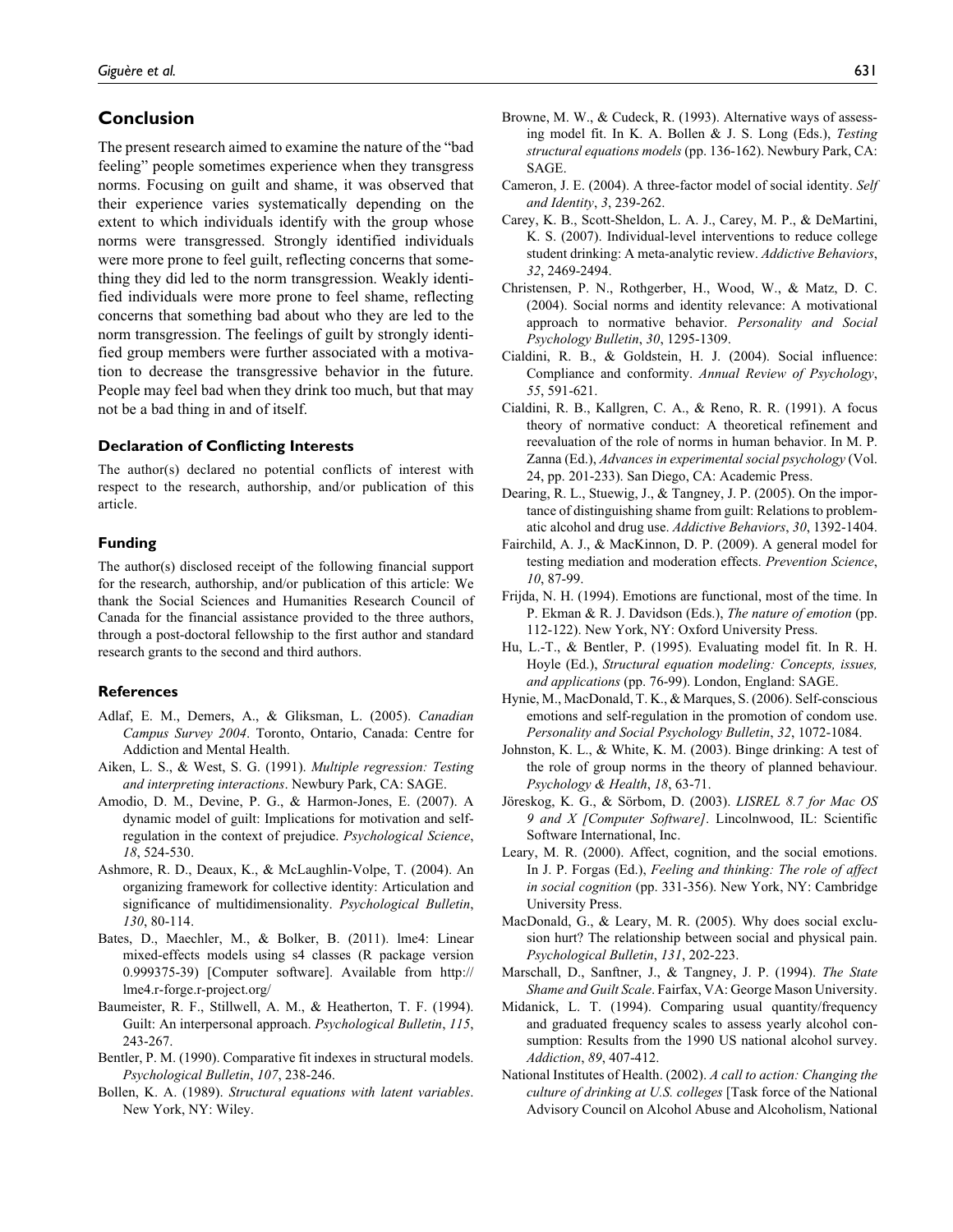## **Conclusion**

The present research aimed to examine the nature of the "bad feeling" people sometimes experience when they transgress norms. Focusing on guilt and shame, it was observed that their experience varies systematically depending on the extent to which individuals identify with the group whose norms were transgressed. Strongly identified individuals were more prone to feel guilt, reflecting concerns that something they did led to the norm transgression. Weakly identified individuals were more prone to feel shame, reflecting concerns that something bad about who they are led to the norm transgression. The feelings of guilt by strongly identified group members were further associated with a motivation to decrease the transgressive behavior in the future. People may feel bad when they drink too much, but that may not be a bad thing in and of itself.

#### **Declaration of Conflicting Interests**

The author(s) declared no potential conflicts of interest with respect to the research, authorship, and/or publication of this article.

#### **Funding**

The author(s) disclosed receipt of the following financial support for the research, authorship, and/or publication of this article: We thank the Social Sciences and Humanities Research Council of Canada for the financial assistance provided to the three authors, through a post-doctoral fellowship to the first author and standard research grants to the second and third authors.

#### **References**

- Adlaf, E. M., Demers, A., & Gliksman, L. (2005). *Canadian Campus Survey 2004*. Toronto, Ontario, Canada: Centre for Addiction and Mental Health.
- Aiken, L. S., & West, S. G. (1991). *Multiple regression: Testing and interpreting interactions*. Newbury Park, CA: SAGE.
- Amodio, D. M., Devine, P. G., & Harmon-Jones, E. (2007). A dynamic model of guilt: Implications for motivation and selfregulation in the context of prejudice. *Psychological Science*, *18*, 524-530.
- Ashmore, R. D., Deaux, K., & McLaughlin-Volpe, T. (2004). An organizing framework for collective identity: Articulation and significance of multidimensionality. *Psychological Bulletin*, *130*, 80-114.
- Bates, D., Maechler, M., & Bolker, B. (2011). lme4: Linear mixed-effects models using s4 classes (R package version 0.999375-39) [Computer software]. Available from [http://](http://lme4.r-forge.r-project.org/) [lme4.r-forge.r-project.org/](http://lme4.r-forge.r-project.org/)
- Baumeister, R. F., Stillwell, A. M., & Heatherton, T. F. (1994). Guilt: An interpersonal approach. *Psychological Bulletin*, *115*, 243-267.
- Bentler, P. M. (1990). Comparative fit indexes in structural models. *Psychological Bulletin*, *107*, 238-246.
- Bollen, K. A. (1989). *Structural equations with latent variables*. New York, NY: Wiley.
- Browne, M. W., & Cudeck, R. (1993). Alternative ways of assessing model fit. In K. A. Bollen & J. S. Long (Eds.), *Testing structural equations models* (pp. 136-162). Newbury Park, CA: SAGE.
- Cameron, J. E. (2004). A three-factor model of social identity. *Self and Identity*, *3*, 239-262.
- Carey, K. B., Scott-Sheldon, L. A. J., Carey, M. P., & DeMartini, K. S. (2007). Individual-level interventions to reduce college student drinking: A meta-analytic review. *Addictive Behaviors*, *32*, 2469-2494.
- Christensen, P. N., Rothgerber, H., Wood, W., & Matz, D. C. (2004). Social norms and identity relevance: A motivational approach to normative behavior. *Personality and Social Psychology Bulletin*, *30*, 1295-1309.
- Cialdini, R. B., & Goldstein, H. J. (2004). Social influence: Compliance and conformity. *Annual Review of Psychology*, *55*, 591-621.
- Cialdini, R. B., Kallgren, C. A., & Reno, R. R. (1991). A focus theory of normative conduct: A theoretical refinement and reevaluation of the role of norms in human behavior. In M. P. Zanna (Ed.), *Advances in experimental social psychology* (Vol. 24, pp. 201-233). San Diego, CA: Academic Press.
- Dearing, R. L., Stuewig, J., & Tangney, J. P. (2005). On the importance of distinguishing shame from guilt: Relations to problematic alcohol and drug use. *Addictive Behaviors*, *30*, 1392-1404.
- Fairchild, A. J., & MacKinnon, D. P. (2009). A general model for testing mediation and moderation effects. *Prevention Science*, *10*, 87-99.
- Frijda, N. H. (1994). Emotions are functional, most of the time. In P. Ekman & R. J. Davidson (Eds.), *The nature of emotion* (pp. 112-122). New York, NY: Oxford University Press.
- Hu, L.-T., & Bentler, P. (1995). Evaluating model fit. In R. H. Hoyle (Ed.), *Structural equation modeling: Concepts, issues, and applications* (pp. 76-99). London, England: SAGE.
- Hynie, M., MacDonald, T. K., & Marques, S. (2006). Self-conscious emotions and self-regulation in the promotion of condom use. *Personality and Social Psychology Bulletin*, *32*, 1072-1084.
- Johnston, K. L., & White, K. M. (2003). Binge drinking: A test of the role of group norms in the theory of planned behaviour. *Psychology & Health*, *18*, 63-71.
- Jöreskog, K. G., & Sörbom, D. (2003). *LISREL 8.7 for Mac OS 9 and X [Computer Software]*. Lincolnwood, IL: Scientific Software International, Inc.
- Leary, M. R. (2000). Affect, cognition, and the social emotions. In J. P. Forgas (Ed.), *Feeling and thinking: The role of affect in social cognition* (pp. 331-356). New York, NY: Cambridge University Press.
- MacDonald, G., & Leary, M. R. (2005). Why does social exclusion hurt? The relationship between social and physical pain. *Psychological Bulletin*, *131*, 202-223.
- Marschall, D., Sanftner, J., & Tangney, J. P. (1994). *The State Shame and Guilt Scale*. Fairfax, VA: George Mason University.
- Midanick, L. T. (1994). Comparing usual quantity/frequency and graduated frequency scales to assess yearly alcohol consumption: Results from the 1990 US national alcohol survey. *Addiction*, *89*, 407-412.
- National Institutes of Health. (2002). *A call to action: Changing the culture of drinking at U.S. colleges* [Task force of the National Advisory Council on Alcohol Abuse and Alcoholism, National